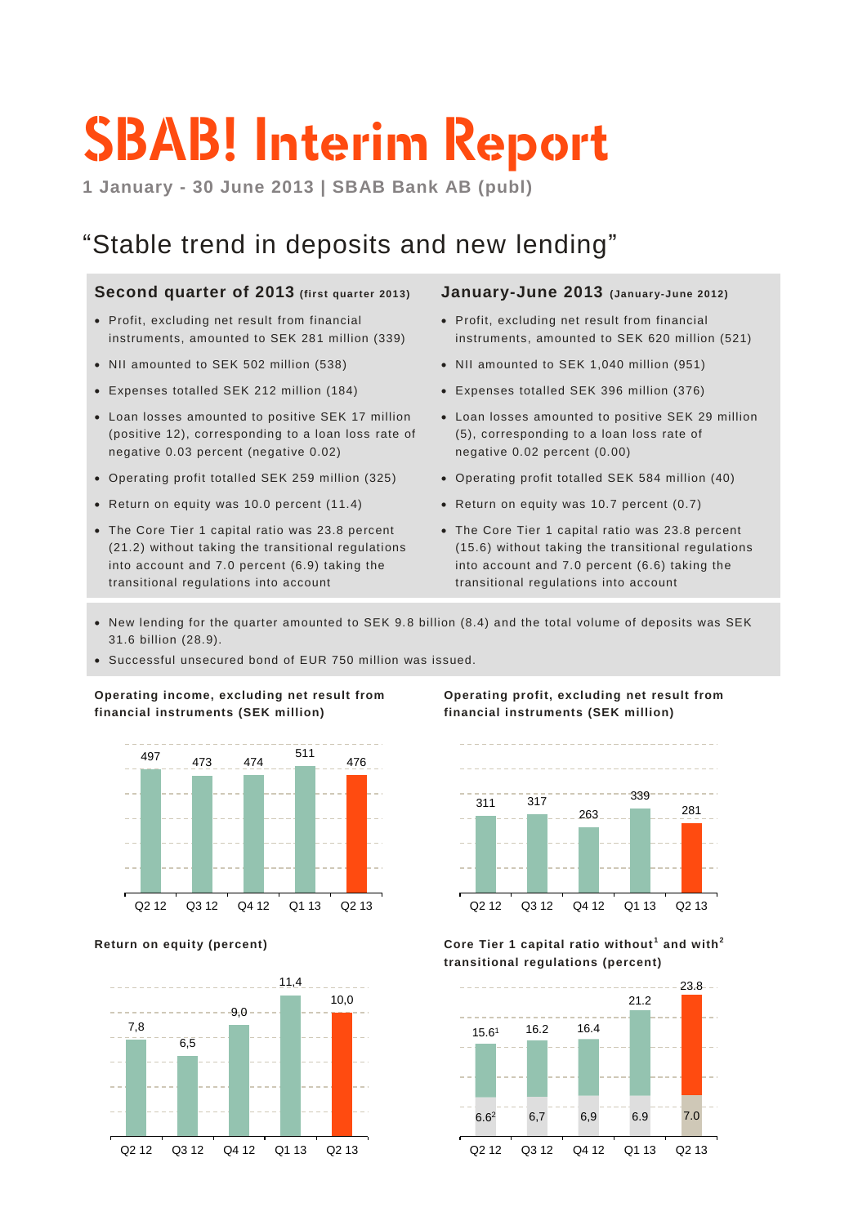# **SBAB! Interim Report**

**1 January - 30 June 2013 | SBAB Bank AB (publ)**

# "Stable trend in deposits and new lending"

### **Second quarter of 2013 (first quarter 2013)**

- Profit, excluding net result from financial instruments, amounted to SEK 281 million (339)
- NII amounted to SEK 502 million (538)
- Expenses totalled SEK 212 million (184)
- Loan losses amounted to positive SEK 17 million (positive 12), corresponding to a loan loss rate of negative 0.03 percent (negative 0.02)
- Operating profit totalled SEK 259 million (325)
- Return on equity was 10.0 percent (11.4)
- The Core Tier 1 capital ratio was 23.8 percent (21.2) without taking the transitional regulations into account and 7.0 percent (6.9) taking the transitional regulations into account

### **January-June 2013 (Januar y-June 2012)**

- Profit, excluding net result from financial instruments, amounted to SEK 620 million (521)
- NII amounted to SEK 1,040 million (951)
- Expenses totalled SEK 396 million (376)
- Loan losses amounted to positive SEK 29 million (5), corresponding to a loan loss rate of negative 0.02 percent (0.00)
- Operating profit totalled SEK 584 million (40)
- Return on equity was 10.7 percent (0.7)
- The Core Tier 1 capital ratio was 23.8 percent (15.6) without taking the transitional regulations into account and 7.0 percent (6.6) taking the transitional regulations into account
- New lending for the quarter amounted to SEK 9.8 billion (8.4) and the total volume of deposits was SEK 31.6 billion (28.9).
- Successful unsecured bond of EUR 750 million was issued.

**Operating income, excluding net result from financial instruments (SEK million)**





### **Operating profit, excluding net result from financial instruments (SEK million)**



**Return on equity (percent) Core Tier 1 capital ratio without <sup>1</sup> and with<sup>2</sup> transitional regulations (percent)**

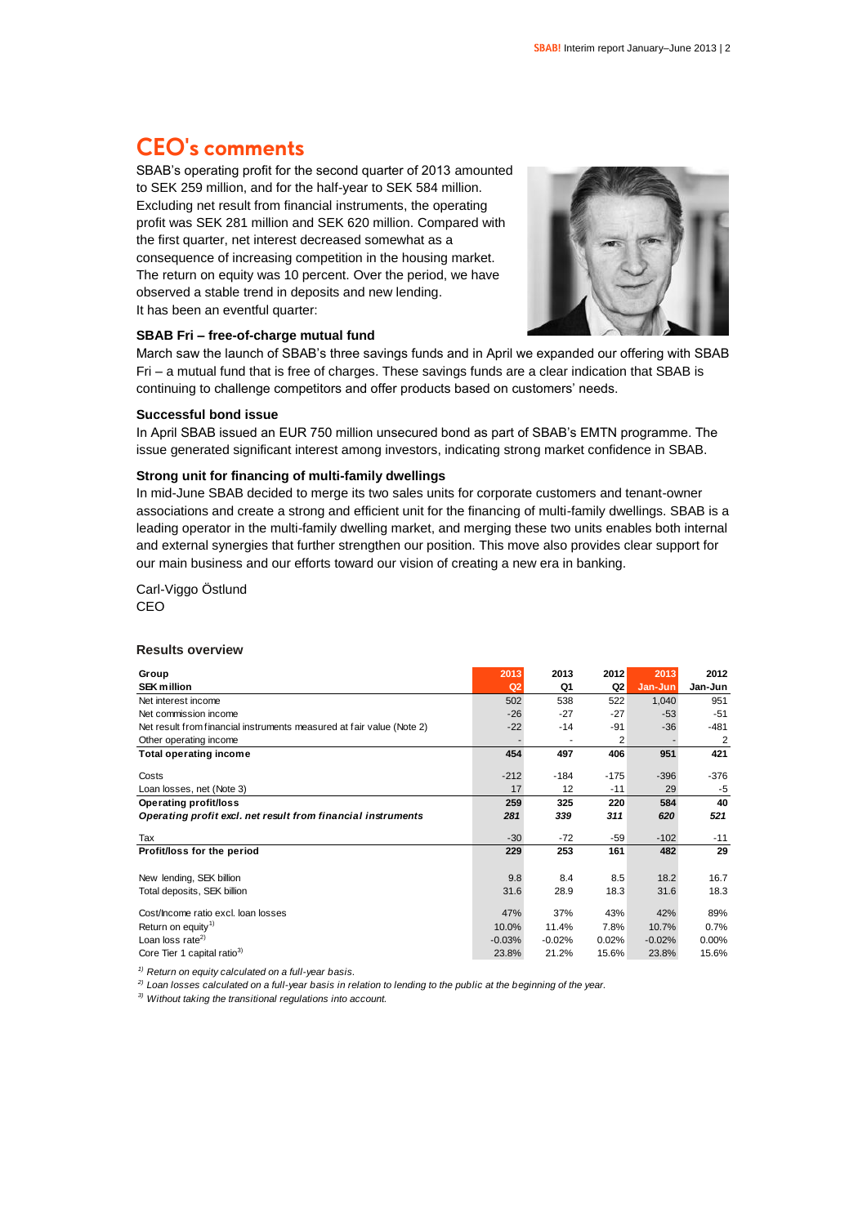# **CEO's comments**

SBAB's operating profit for the second quarter of 2013 amounted to SEK 259 million, and for the half-year to SEK 584 million. Excluding net result from financial instruments, the operating profit was SEK 281 million and SEK 620 million. Compared with the first quarter, net interest decreased somewhat as a consequence of increasing competition in the housing market. The return on equity was 10 percent. Over the period, we have observed a stable trend in deposits and new lending. It has been an eventful quarter:



### **SBAB Fri – free-of-charge mutual fund**

March saw the launch of SBAB's three savings funds and in April we expanded our offering with SBAB Fri – a mutual fund that is free of charges. These savings funds are a clear indication that SBAB is continuing to challenge competitors and offer products based on customers' needs.

### **Successful bond issue**

In April SBAB issued an EUR 750 million unsecured bond as part of SBAB's EMTN programme. The issue generated significant interest among investors, indicating strong market confidence in SBAB.

### **Strong unit for financing of multi-family dwellings**

In mid-June SBAB decided to merge its two sales units for corporate customers and tenant-owner associations and create a strong and efficient unit for the financing of multi-family dwellings. SBAB is a leading operator in the multi-family dwelling market, and merging these two units enables both internal and external synergies that further strengthen our position. This move also provides clear support for our main business and our efforts toward our vision of creating a new era in banking.

Carl-Viggo Östlund CEO

### **Results overview**

| Group                                                                 | 2013     | 2013     | 2012           | 2013     | 2012           |
|-----------------------------------------------------------------------|----------|----------|----------------|----------|----------------|
| <b>SEK million</b>                                                    | Q2       | Q1       | Q <sub>2</sub> | Jan-Jun  | Jan-Jun        |
| Net interest income                                                   | 502      | 538      | 522            | 1,040    | 951            |
| Net commission income                                                 | $-26$    | $-27$    | $-27$          | $-53$    | $-51$          |
| Net result from financial instruments measured at fair value (Note 2) | $-22$    | -14      | -91            | $-36$    | $-481$         |
| Other operating income                                                |          |          | 2              |          | $\overline{2}$ |
| <b>Total operating income</b>                                         | 454      | 497      | 406            | 951      | 421            |
| Costs                                                                 | $-212$   | $-184$   | $-175$         | $-396$   | $-376$         |
| Loan losses, net (Note 3)                                             | 17       | 12       | $-11$          | 29       | $-5$           |
| Operating profit/loss                                                 | 259      | 325      | 220            | 584      | 40             |
| Operating profit excl. net result from financial instruments          | 281      | 339      | 311            | 620      | 521            |
| Tax                                                                   | $-30$    | $-72$    | $-59$          | $-102$   | $-11$          |
| Profit/loss for the period                                            | 229      | 253      | 161            | 482      | 29             |
| New lending, SEK billion                                              | 9.8      | 8.4      | 8.5            | 18.2     | 16.7           |
|                                                                       |          |          |                |          |                |
| Total deposits, SEK billion                                           | 31.6     | 28.9     | 18.3           | 31.6     | 18.3           |
| Cost/Income ratio excl. Ioan losses                                   | 47%      | 37%      | 43%            | 42%      | 89%            |
| Return on equity <sup>1)</sup>                                        | 10.0%    | 11.4%    | 7.8%           | 10.7%    | 0.7%           |
| Loan loss rate <sup>2)</sup>                                          | $-0.03%$ | $-0.02%$ | 0.02%          | $-0.02%$ | 0.00%          |
| Core Tier 1 capital ratio <sup>3)</sup>                               | 23.8%    | 21.2%    | 15.6%          | 23.8%    | 15.6%          |

*1) Return on equity calculated on a full-year basis.*

*2) Loan losses calculated on a full-year basis in relation to lending to the public at the beginning of the year.*

*3) Without taking the transitional regulations into account.*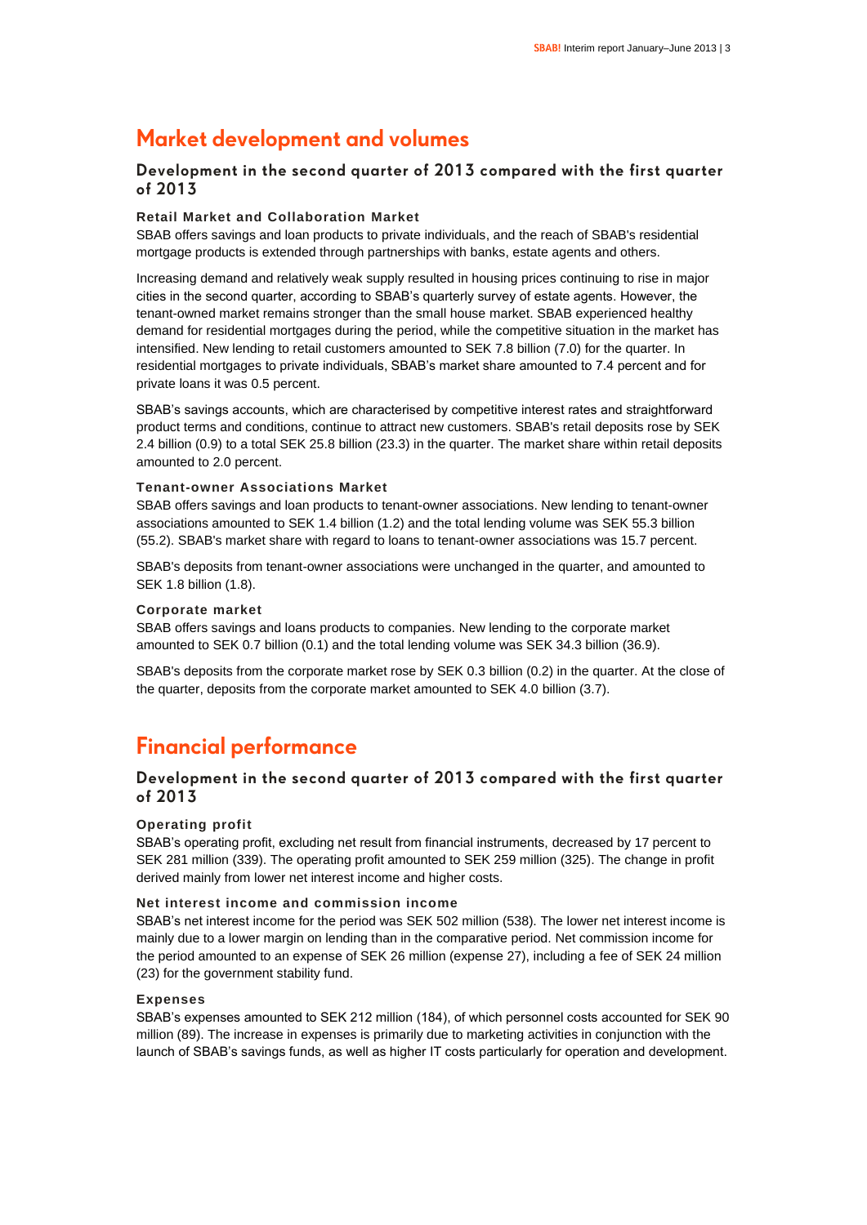### **Market development and volumes**

### **Development in the second quarter of 2013 compared with the first quarter of 2013**

### **Retail Market and Collaboration Market**

SBAB offers savings and loan products to private individuals, and the reach of SBAB's residential mortgage products is extended through partnerships with banks, estate agents and others.

Increasing demand and relatively weak supply resulted in housing prices continuing to rise in major cities in the second quarter, according to SBAB's quarterly survey of estate agents. However, the tenant-owned market remains stronger than the small house market. SBAB experienced healthy demand for residential mortgages during the period, while the competitive situation in the market has intensified. New lending to retail customers amounted to SEK 7.8 billion (7.0) for the quarter. In residential mortgages to private individuals, SBAB's market share amounted to 7.4 percent and for private loans it was 0.5 percent.

SBAB's savings accounts, which are characterised by competitive interest rates and straightforward product terms and conditions, continue to attract new customers. SBAB's retail deposits rose by SEK 2.4 billion (0.9) to a total SEK 25.8 billion (23.3) in the quarter. The market share within retail deposits amounted to 2.0 percent.

### **Tenant-owner Associations Market**

SBAB offers savings and loan products to tenant-owner associations. New lending to tenant-owner associations amounted to SEK 1.4 billion (1.2) and the total lending volume was SEK 55.3 billion (55.2). SBAB's market share with regard to loans to tenant-owner associations was 15.7 percent.

SBAB's deposits from tenant-owner associations were unchanged in the quarter, and amounted to SEK 1.8 billion (1.8).

### **Corporate market**

SBAB offers savings and loans products to companies. New lending to the corporate market amounted to SEK 0.7 billion (0.1) and the total lending volume was SEK 34.3 billion (36.9).

SBAB's deposits from the corporate market rose by SEK 0.3 billion (0.2) in the quarter. At the close of the quarter, deposits from the corporate market amounted to SEK 4.0 billion (3.7).

### **Financial performance**

### **Development in the second quarter of 2013 compared with the first quarter of 2013**

### **Operating profit**

SBAB's operating profit, excluding net result from financial instruments, decreased by 17 percent to SEK 281 million (339). The operating profit amounted to SEK 259 million (325). The change in profit derived mainly from lower net interest income and higher costs.

### **Net interest income and commission income**

SBAB's net interest income for the period was SEK 502 million (538). The lower net interest income is mainly due to a lower margin on lending than in the comparative period. Net commission income for the period amounted to an expense of SEK 26 million (expense 27), including a fee of SEK 24 million (23) for the government stability fund.

### **Expenses**

SBAB's expenses amounted to SEK 212 million (184), of which personnel costs accounted for SEK 90 million (89). The increase in expenses is primarily due to marketing activities in conjunction with the launch of SBAB's savings funds, as well as higher IT costs particularly for operation and development.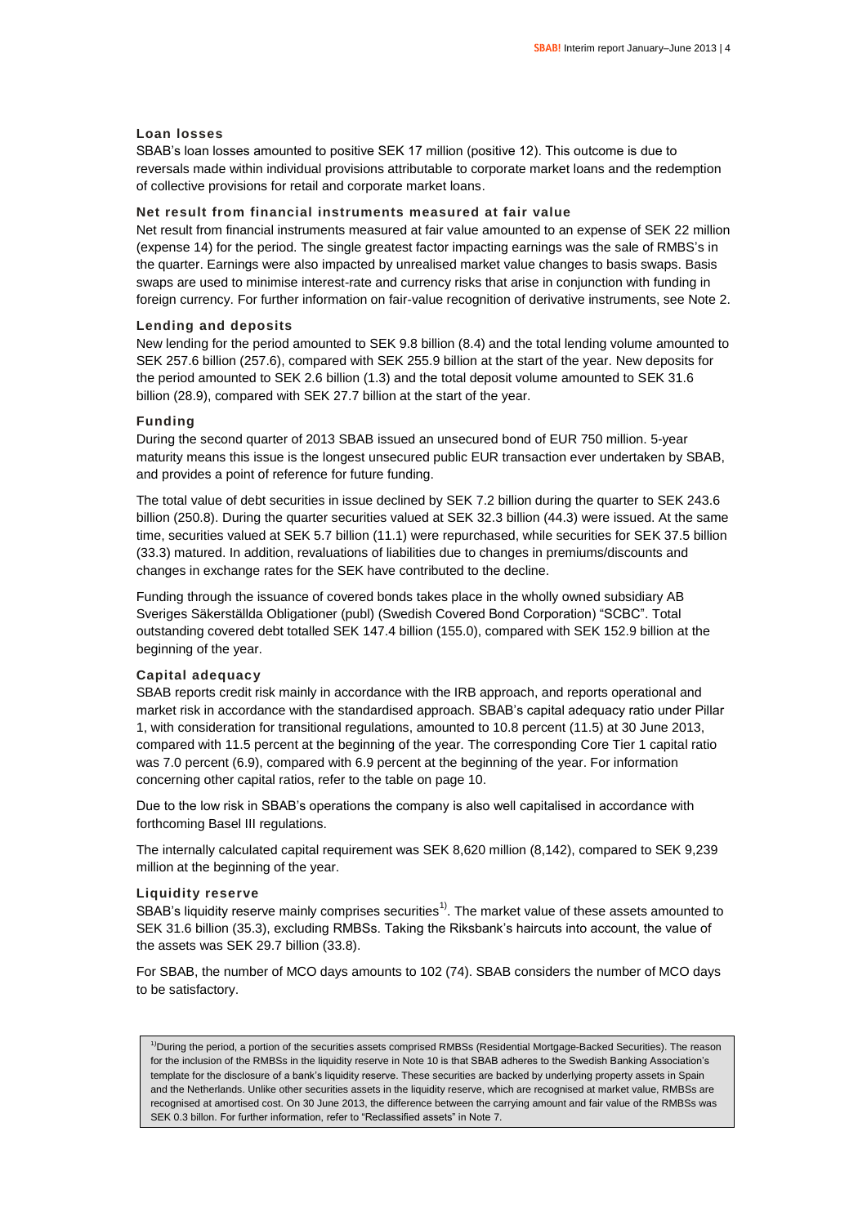### **Loan losses**

SBAB's loan losses amounted to positive SEK 17 million (positive 12). This outcome is due to reversals made within individual provisions attributable to corporate market loans and the redemption of collective provisions for retail and corporate market loans.

### **Net result from financial instruments measured at fair value**

Net result from financial instruments measured at fair value amounted to an expense of SEK 22 million (expense 14) for the period. The single greatest factor impacting earnings was the sale of RMBS's in the quarter. Earnings were also impacted by unrealised market value changes to basis swaps. Basis swaps are used to minimise interest-rate and currency risks that arise in conjunction with funding in foreign currency. For further information on fair-value recognition of derivative instruments, see Note 2.

### **Lending and deposits**

New lending for the period amounted to SEK 9.8 billion (8.4) and the total lending volume amounted to SEK 257.6 billion (257.6), compared with SEK 255.9 billion at the start of the year. New deposits for the period amounted to SEK 2.6 billion (1.3) and the total deposit volume amounted to SEK 31.6 billion (28.9), compared with SEK 27.7 billion at the start of the year.

### **Funding**

During the second quarter of 2013 SBAB issued an unsecured bond of EUR 750 million. 5-year maturity means this issue is the longest unsecured public EUR transaction ever undertaken by SBAB, and provides a point of reference for future funding.

The total value of debt securities in issue declined by SEK 7.2 billion during the quarter to SEK 243.6 billion (250.8). During the quarter securities valued at SEK 32.3 billion (44.3) were issued. At the same time, securities valued at SEK 5.7 billion (11.1) were repurchased, while securities for SEK 37.5 billion (33.3) matured. In addition, revaluations of liabilities due to changes in premiums/discounts and changes in exchange rates for the SEK have contributed to the decline.

Funding through the issuance of covered bonds takes place in the wholly owned subsidiary AB Sveriges Säkerställda Obligationer (publ) (Swedish Covered Bond Corporation) "SCBC". Total outstanding covered debt totalled SEK 147.4 billion (155.0), compared with SEK 152.9 billion at the beginning of the year.

### **Capital adequacy**

SBAB reports credit risk mainly in accordance with the IRB approach, and reports operational and market risk in accordance with the standardised approach. SBAB's capital adequacy ratio under Pillar 1, with consideration for transitional regulations, amounted to 10.8 percent (11.5) at 30 June 2013, compared with 11.5 percent at the beginning of the year. The corresponding Core Tier 1 capital ratio was 7.0 percent (6.9), compared with 6.9 percent at the beginning of the year. For information concerning other capital ratios, refer to the table on page 10.

Due to the low risk in SBAB's operations the company is also well capitalised in accordance with forthcoming Basel III regulations.

The internally calculated capital requirement was SEK 8,620 million (8,142), compared to SEK 9,239 million at the beginning of the year.

### **Liquidity reserve**

SBAB's liquidity reserve mainly comprises securities<sup>1)</sup>. The market value of these assets amounted to SEK 31.6 billion (35.3), excluding RMBSs. Taking the Riksbank's haircuts into account, the value of the assets was SEK 29.7 billion (33.8).

For SBAB, the number of MCO days amounts to 102 (74). SBAB considers the number of MCO days to be satisfactory.

<sup>1)</sup>During the period, a portion of the securities assets comprised RMBSs (Residential Mortgage-Backed Securities). The reason for the inclusion of the RMBSs in the liquidity reserve in Note 10 is that SBAB adheres to the Swedish Banking Association's template for the disclosure of a bank's liquidity reserve. These securities are backed by underlying property assets in Spain and the Netherlands. Unlike other securities assets in the liquidity reserve, which are recognised at market value, RMBSs are recognised at amortised cost. On 30 June 2013, the difference between the carrying amount and fair value of the RMBSs was SEK 0.3 billon. For further information, refer to "Reclassified assets" in Note 7.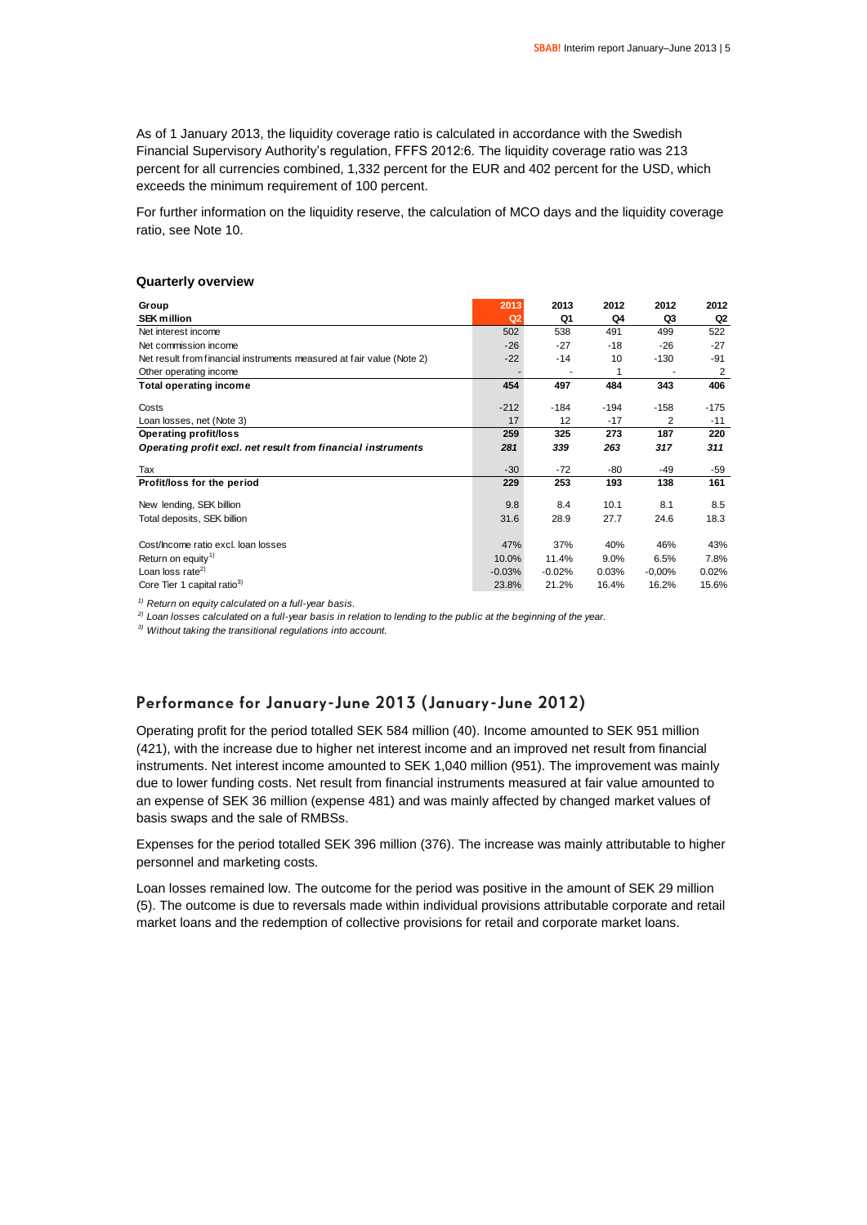As of 1 January 2013, the liquidity coverage ratio is calculated in accordance with the Swedish Financial Supervisory Authority's regulation, FFFS 2012:6. The liquidity coverage ratio was 213 percent for all currencies combined, 1,332 percent for the EUR and 402 percent for the USD, which exceeds the minimum requirement of 100 percent.

For further information on the liquidity reserve, the calculation of MCO days and the liquidity coverage ratio, see Note 10.

### **Quarterly overview**

| Group                                                                 | 2013           | 2013     | 2012   | 2012     | 2012           |
|-----------------------------------------------------------------------|----------------|----------|--------|----------|----------------|
| <b>SEK million</b>                                                    | Q <sub>2</sub> | Q1       | Q4     | Q3       | Q2             |
| Net interest income                                                   | 502            | 538      | 491    | 499      | 522            |
| Net commission income                                                 | $-26$          | $-27$    | $-18$  | $-26$    | $-27$          |
| Net result from financial instruments measured at fair value (Note 2) | $-22$          | $-14$    | 10     | $-130$   | -91            |
| Other operating income                                                |                |          | 1      |          | $\overline{2}$ |
| <b>Total operating income</b>                                         | 454            | 497      | 484    | 343      | 406            |
| Costs                                                                 | $-212$         | $-184$   | $-194$ | $-158$   | $-175$         |
| Loan losses, net (Note 3)                                             | 17             | 12       | $-17$  | 2        | $-11$          |
| Operating profit/loss                                                 | 259            | 325      | 273    | 187      | 220            |
|                                                                       |                |          |        |          |                |
| Operating profit excl. net result from financial instruments          | 281            | 339      | 263    | 317      | 311            |
| Tax                                                                   | $-30$          | $-72$    | -80    | -49      | -59            |
| Profit/loss for the period                                            | 229            | 253      | 193    | 138      | 161            |
|                                                                       | 9.8            | 8.4      | 10.1   | 8.1      |                |
| New lending, SEK billion                                              |                |          |        |          | 8.5            |
| Total deposits, SEK billion                                           | 31.6           | 28.9     | 27.7   | 24.6     | 18.3           |
|                                                                       |                |          |        |          |                |
| Cost/Income ratio excl. Ioan losses                                   | 47%            | 37%      | 40%    | 46%      | 43%            |
| Return on equity <sup>1)</sup>                                        | 10.0%          | 11.4%    | 9.0%   | 6.5%     | 7.8%           |
| Loan loss rate <sup>2)</sup>                                          | $-0.03%$       | $-0.02%$ | 0.03%  | $-0.00%$ | 0.02%          |
| Core Tier 1 capital ratio <sup>3)</sup>                               | 23.8%          | 21.2%    | 16.4%  | 16.2%    | 15.6%          |

*1) Return on equity calculated on a full-year basis.*

*2) Loan losses calculated on a full-year basis in relation to lending to the public at the beginning of the year.*

*3) Without taking the transitional regulations into account.*

### **Performance for January-June 2013 (January-June 2012)**

Operating profit for the period totalled SEK 584 million (40). Income amounted to SEK 951 million (421), with the increase due to higher net interest income and an improved net result from financial instruments. Net interest income amounted to SEK 1,040 million (951). The improvement was mainly due to lower funding costs. Net result from financial instruments measured at fair value amounted to an expense of SEK 36 million (expense 481) and was mainly affected by changed market values of basis swaps and the sale of RMBSs.

Expenses for the period totalled SEK 396 million (376). The increase was mainly attributable to higher personnel and marketing costs.

Loan losses remained low. The outcome for the period was positive in the amount of SEK 29 million (5). The outcome is due to reversals made within individual provisions attributable corporate and retail market loans and the redemption of collective provisions for retail and corporate market loans.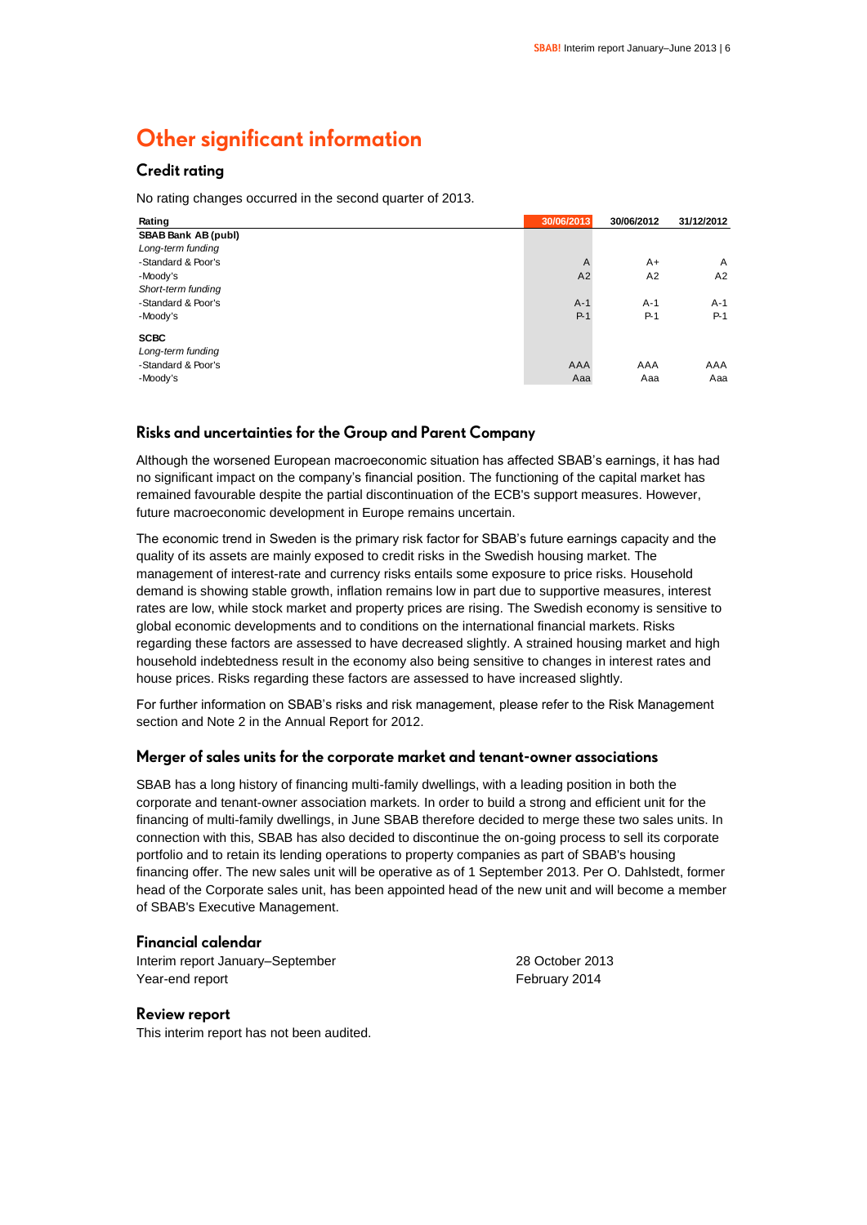# **Other significant information**

### **Credit rating**

No rating changes occurred in the second quarter of 2013.

| Rating                     | 30/06/2013     | 30/06/2012 | 31/12/2012 |
|----------------------------|----------------|------------|------------|
| <b>SBAB Bank AB (publ)</b> |                |            |            |
| Long-term funding          |                |            |            |
| -Standard & Poor's         | $\overline{A}$ | $A+$       | A          |
| -Moody's                   | A2             | A2         | A2         |
| Short-term funding         |                |            |            |
| -Standard & Poor's         | $A-1$          | $A-1$      | $A-1$      |
| -Moody's                   | $P-1$          | $P-1$      | $P-1$      |
| <b>SCBC</b>                |                |            |            |
| Long-term funding          |                |            |            |
| -Standard & Poor's         | AAA            | AAA        | AAA        |
| -Moody's                   | Aaa            | Aaa        | Aaa        |

### **Risks and uncertainties for the Group and Parent Company**

Although the worsened European macroeconomic situation has affected SBAB's earnings, it has had no significant impact on the company's financial position. The functioning of the capital market has remained favourable despite the partial discontinuation of the ECB's support measures. However, future macroeconomic development in Europe remains uncertain.

The economic trend in Sweden is the primary risk factor for SBAB's future earnings capacity and the quality of its assets are mainly exposed to credit risks in the Swedish housing market. The management of interest-rate and currency risks entails some exposure to price risks. Household demand is showing stable growth, inflation remains low in part due to supportive measures, interest rates are low, while stock market and property prices are rising. The Swedish economy is sensitive to global economic developments and to conditions on the international financial markets. Risks regarding these factors are assessed to have decreased slightly. A strained housing market and high household indebtedness result in the economy also being sensitive to changes in interest rates and house prices. Risks regarding these factors are assessed to have increased slightly.

For further information on SBAB's risks and risk management, please refer to the Risk Management section and Note 2 in the Annual Report for 2012.

### **Merger of sales units for the corporate market and tenant-owner associations**

SBAB has a long history of financing multi-family dwellings, with a leading position in both the corporate and tenant-owner association markets. In order to build a strong and efficient unit for the financing of multi-family dwellings, in June SBAB therefore decided to merge these two sales units. In connection with this, SBAB has also decided to discontinue the on-going process to sell its corporate portfolio and to retain its lending operations to property companies as part of SBAB's housing financing offer. The new sales unit will be operative as of 1 September 2013. Per O. Dahlstedt, former head of the Corporate sales unit, has been appointed head of the new unit and will become a member of SBAB's Executive Management.

### **Financial calendar**

Interim report January–September 2013 Year-end report February 2014

### **Review report**

This interim report has not been audited.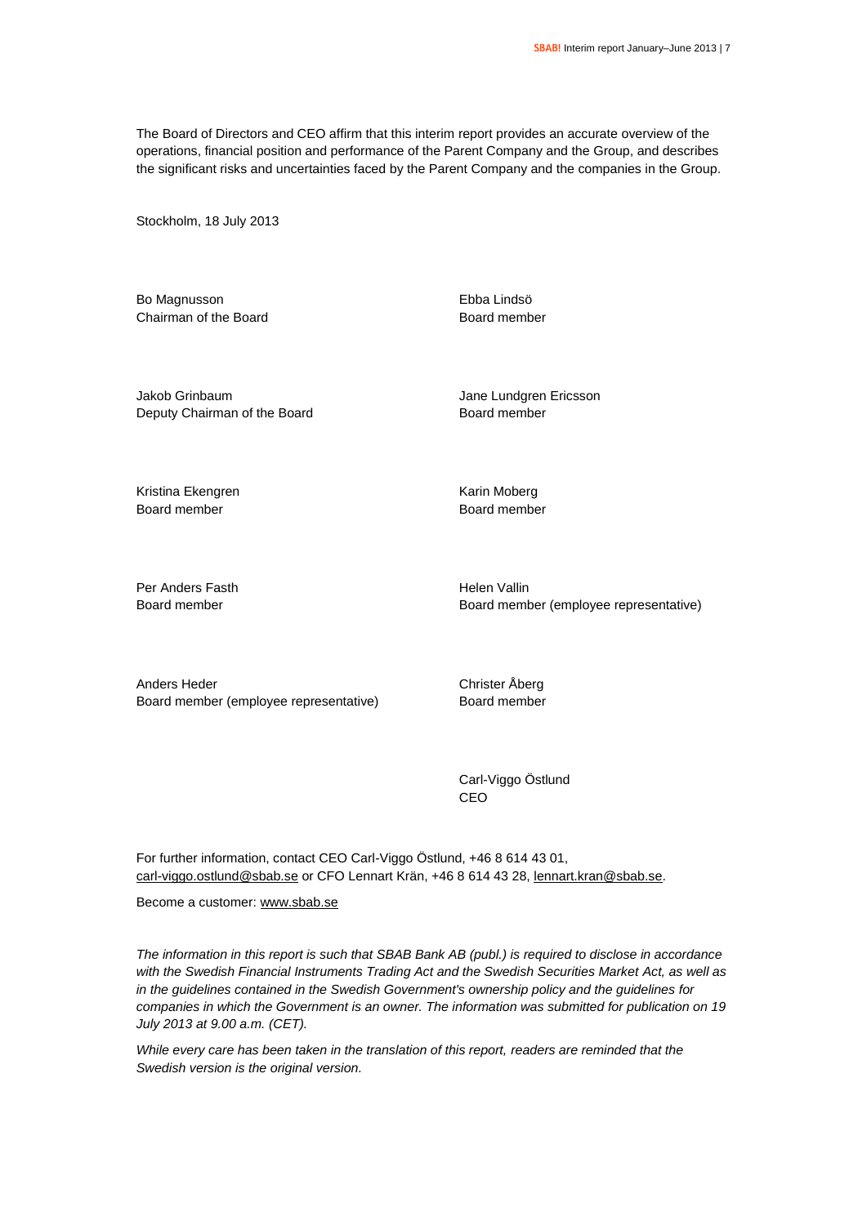The Board of Directors and CEO affirm that this interim report provides an accurate overview of the operations, financial position and performance of the Parent Company and the Group, and describes the significant risks and uncertainties faced by the Parent Company and the companies in the Group.

Stockholm, 18 July 2013

Bo Magnusson Chairman of the Board Ebba Lindsö Board member

Jakob Grinbaum Deputy Chairman of the Board Jane Lundgren Ericsson Board member

Kristina Ekengren Board member

Karin Moberg Board member

Per Anders Fasth Board member

Helen Vallin Board member (employee representative)

Anders Heder Board member (employee representative) Christer Åberg Board member

Carl-Viggo Östlund CEO

For further information, contact CEO Carl-Viggo Östlund, +46 8 614 43 01, [carl-viggo.ostlund@sbab.se](mailto:carl-viggo.ostlund@sbab.se) or CFO Lennart Krän, +46 8 614 43 28[, lennart.kran@sbab.se.](mailto:lennart.kran@sbab.se)

Become a customer[: www.sbab.se](http://www.sbab.se/)

*The information in this report is such that SBAB Bank AB (publ.) is required to disclose in accordance with the Swedish Financial Instruments Trading Act and the Swedish Securities Market Act, as well as in the guidelines contained in the Swedish Government's ownership policy and the guidelines for companies in which the Government is an owner. The information was submitted for publication on 19 July 2013 at 9.00 a.m. (CET).*

*While every care has been taken in the translation of this report, readers are reminded that the Swedish version is the original version.*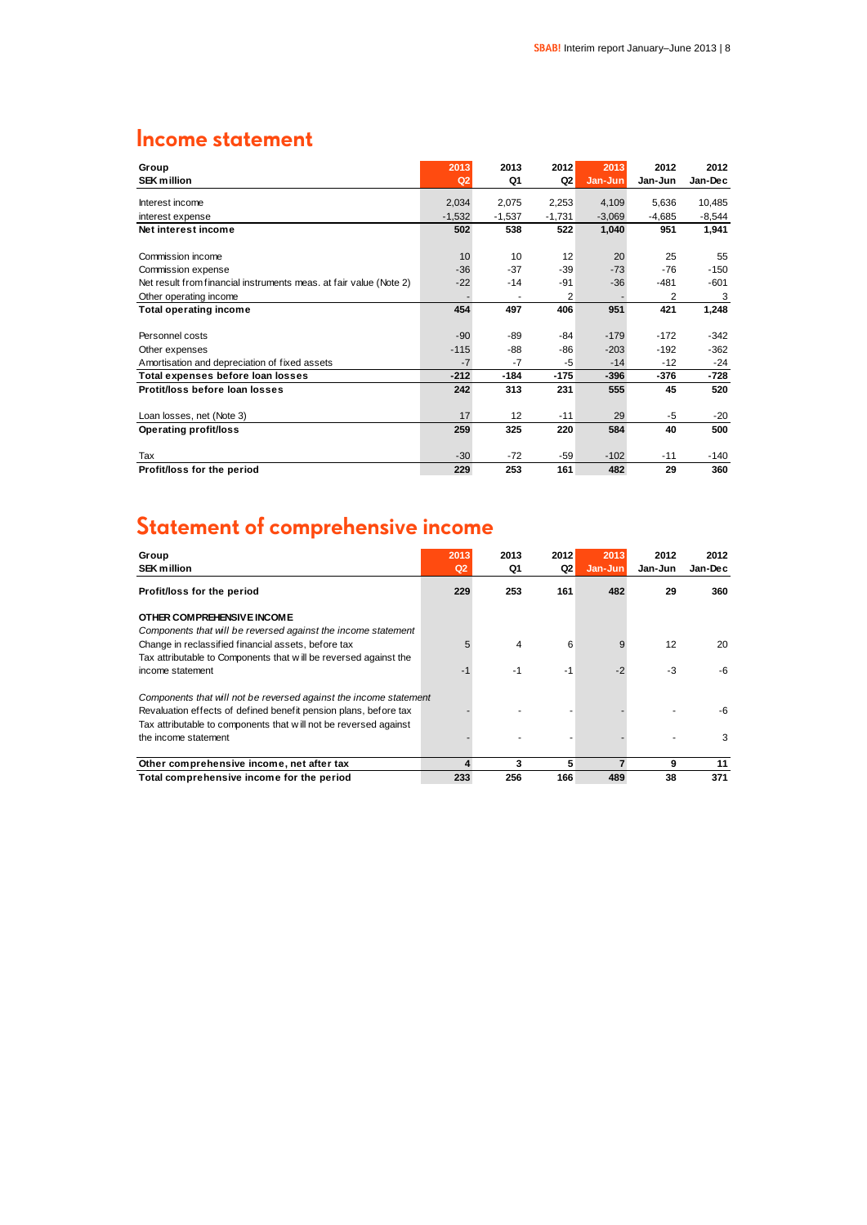# **Income statement**

| Group                                                              | 2013           | 2013     | 2012     | 2013     | 2012           | 2012     |
|--------------------------------------------------------------------|----------------|----------|----------|----------|----------------|----------|
| <b>SEK million</b>                                                 | Q <sub>2</sub> | Q1       | Q2       | Jan-Jun  | Jan-Jun        | Jan-Dec  |
| Interest income                                                    | 2,034          | 2,075    | 2,253    | 4,109    | 5,636          | 10,485   |
| interest expense                                                   | $-1,532$       | $-1,537$ | $-1,731$ | $-3,069$ | $-4,685$       | $-8,544$ |
| Net interest income                                                | 502            | 538      | 522      | 1,040    | 951            | 1,941    |
|                                                                    |                |          |          |          |                |          |
| Commission income                                                  | 10             | 10       | 12       | 20       | 25             | 55       |
| Commission expense                                                 | $-36$          | $-37$    | $-39$    | $-73$    | $-76$          | $-150$   |
| Net result from financial instruments meas. at fair value (Note 2) | $-22$          | $-14$    | $-91$    | $-36$    | $-481$         | $-601$   |
| Other operating income                                             |                |          | 2        |          | $\overline{2}$ | 3        |
| <b>Total operating income</b>                                      | 454            | 497      | 406      | 951      | 421            | 1,248    |
|                                                                    |                |          |          |          |                |          |
| Personnel costs                                                    | $-90$          | $-89$    | $-84$    | $-179$   | $-172$         | $-342$   |
| Other expenses                                                     | $-115$         | $-88$    | $-86$    | $-203$   | $-192$         | $-362$   |
| Amortisation and depreciation of fixed assets                      | $-7$           | $-7$     | $-5$     | $-14$    | $-12$          | $-24$    |
| Total expenses before loan losses                                  | $-212$         | $-184$   | $-175$   | $-396$   | $-376$         | $-728$   |
| Protit/loss before loan losses                                     | 242            | 313      | 231      | 555      | 45             | 520      |
|                                                                    |                |          |          |          |                |          |
| Loan losses, net (Note 3)                                          | 17             | 12       | $-11$    | 29       | $-5$           | $-20$    |
| Operating profit/loss                                              | 259            | 325      | 220      | 584      | 40             | 500      |
|                                                                    |                |          |          |          |                |          |
| Tax                                                                | $-30$          | $-72$    | -59      | $-102$   | $-11$          | -140     |
| Profit/loss for the period                                         | 229            | 253      | 161      | 482      | 29             | 360      |

# **Statement of comprehensive income**

| Group<br><b>SEK million</b>                                       | 2013<br>Q2 | 2013<br>Q1 | 2012<br>Q2 | 2013<br>Jan-Jun | 2012<br>Jan-Jun | 2012<br>Jan-Dec |
|-------------------------------------------------------------------|------------|------------|------------|-----------------|-----------------|-----------------|
| Profit/loss for the period                                        | 229        | 253        | 161        | 482             | 29              | 360             |
| OTHER COMPREHENSIVE INCOME                                        |            |            |            |                 |                 |                 |
| Components that will be reversed against the income statement     |            |            |            |                 |                 |                 |
| Change in reclassified financial assets, before tax               |            | 4          | 6          | 9               | 12              | 20              |
| Tax attributable to Components that will be reversed against the  |            |            |            |                 |                 |                 |
| income statement                                                  |            | $-1$       | -1         | $-2$            | -3              | -6              |
| Components that will not be reversed against the income statement |            |            |            |                 |                 |                 |
| Revaluation effects of defined benefit pension plans, before tax  |            |            |            |                 |                 | -6              |
| Tax attributable to components that will not be reversed against  |            |            |            |                 |                 |                 |
| the income statement                                              |            |            |            |                 |                 | 3               |
| Other comprehensive income, net after tax                         | 4          | 3          | 5          |                 | 9               | 11              |
| Total comprehensive income for the period                         | 233        | 256        | 166        | 489             | 38              | 371             |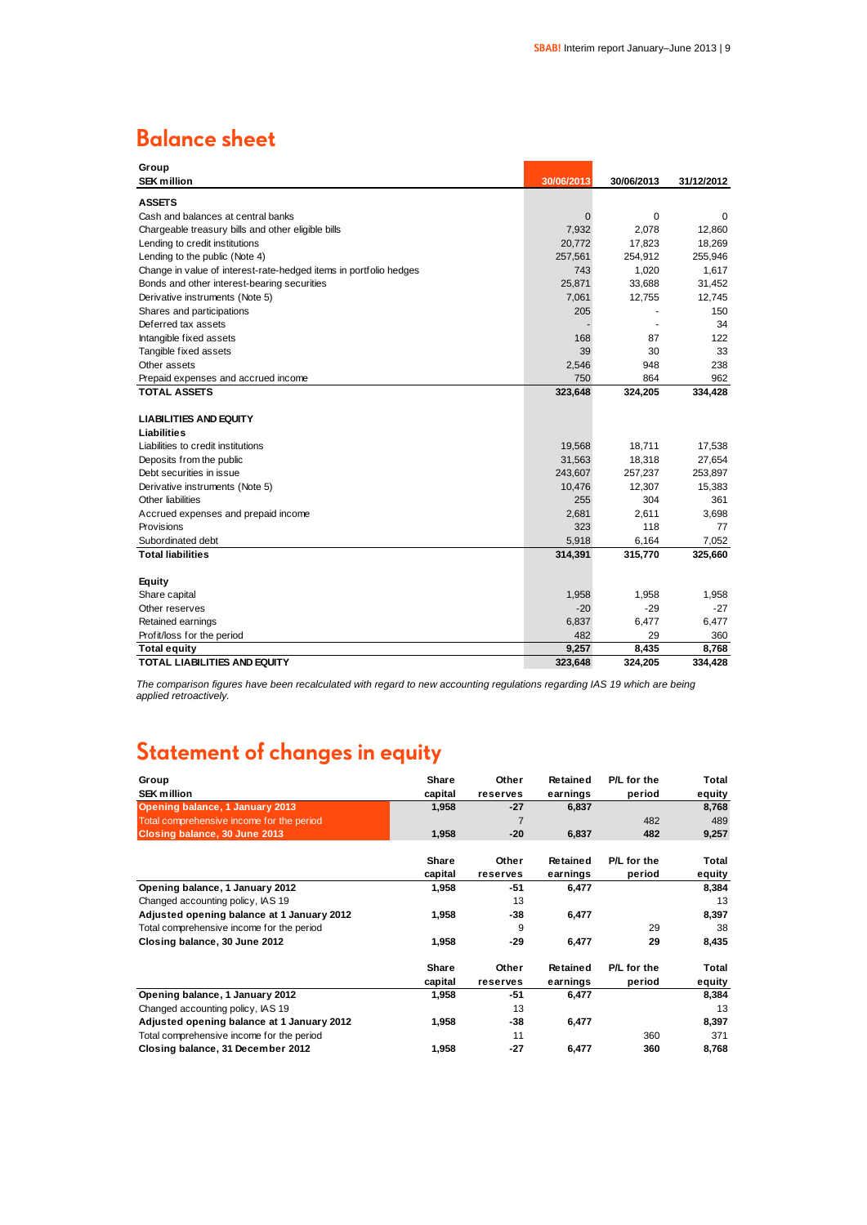### **Balance sheet**

| Group                                                             |            |            |            |
|-------------------------------------------------------------------|------------|------------|------------|
| <b>SEK million</b>                                                | 30/06/2013 | 30/06/2013 | 31/12/2012 |
| <b>ASSETS</b>                                                     |            |            |            |
| Cash and balances at central banks                                | 0          | 0          | $\Omega$   |
| Chargeable treasury bills and other eligible bills                | 7,932      | 2,078      | 12,860     |
| Lending to credit institutions                                    | 20.772     | 17,823     | 18,269     |
| Lending to the public (Note 4)                                    | 257,561    | 254,912    | 255,946    |
| Change in value of interest-rate-hedged items in portfolio hedges | 743        | 1,020      | 1,617      |
| Bonds and other interest-bearing securities                       | 25,871     | 33,688     | 31,452     |
| Derivative instruments (Note 5)                                   | 7,061      | 12,755     | 12,745     |
| Shares and participations                                         | 205        |            | 150        |
| Deferred tax assets                                               |            |            | 34         |
| Intangible fixed assets                                           | 168        | 87         | 122        |
| Tangible fixed assets                                             | 39         | 30         | 33         |
| Other assets                                                      | 2,546      | 948        | 238        |
| Prepaid expenses and accrued income                               | 750        | 864        | 962        |
| <b>TOTAL ASSETS</b>                                               | 323,648    | 324,205    | 334,428    |
|                                                                   |            |            |            |
| <b>LIABILITIES AND EQUITY</b>                                     |            |            |            |
| Liabilities                                                       |            |            |            |
| Liabilities to credit institutions                                | 19,568     | 18,711     | 17,538     |
| Deposits from the public                                          | 31,563     | 18,318     | 27,654     |
| Debt securities in issue                                          | 243,607    | 257,237    | 253,897    |
| Derivative instruments (Note 5)                                   | 10,476     | 12,307     | 15,383     |
| Other liabilities                                                 | 255        | 304        | 361        |
| Accrued expenses and prepaid income                               | 2,681      | 2,611      | 3,698      |
| Provisions                                                        | 323        | 118        | 77         |
| Subordinated debt                                                 | 5,918      | 6,164      | 7,052      |
| <b>Total liabilities</b>                                          | 314,391    | 315,770    | 325,660    |
| Equity                                                            |            |            |            |
| Share capital                                                     | 1,958      | 1,958      | 1,958      |
| Other reserves                                                    | $-20$      | $-29$      | $-27$      |
| Retained earnings                                                 | 6,837      | 6,477      | 6,477      |
| Profit/loss for the period                                        | 482        | 29         | 360        |
| <b>Total equity</b>                                               | 9,257      | 8,435      | 8,768      |
| <b>TOTAL LIABILITIES AND EQUITY</b>                               | 323,648    | 324,205    | 334,428    |

*The comparison figures have been recalculated with regard to new accounting regulations regarding IAS 19 which are being applied retroactively.*

# **Statement of changes in equity**

| Group                                      | Share   | Other          | <b>Retained</b> | P/L for the | Total  |
|--------------------------------------------|---------|----------------|-----------------|-------------|--------|
| <b>SEK million</b>                         | capital | reserves       | earnings        | period      | equity |
| Opening balance, 1 January 2013            | 1,958   | $-27$          | 6,837           |             | 8,768  |
| Total comprehensive income for the period  |         | $\overline{7}$ |                 | 482         | 489    |
| Closing balance, 30 June 2013              | 1,958   | $-20$          | 6,837           | 482         | 9,257  |
|                                            | Share   | Other          | Retained        | P/L for the | Total  |
|                                            | capital | reserves       | earnings        | period      | equity |
| Opening balance, 1 January 2012            | 1,958   | -51            | 6,477           |             | 8,384  |
| Changed accounting policy, IAS 19          |         | 13             |                 |             | 13     |
| Adjusted opening balance at 1 January 2012 | 1,958   | -38            | 6,477           |             | 8,397  |
| Total comprehensive income for the period  |         | 9              |                 | 29          | 38     |
| Closing balance, 30 June 2012              | 1,958   | $-29$          | 6,477           | 29          | 8,435  |
|                                            | Share   | Other          | Retained        | P/L for the | Total  |
|                                            | capital | reserves       | earnings        | period      | equity |
| Opening balance, 1 January 2012            | 1,958   | -51            | 6,477           |             | 8,384  |
| Changed accounting policy, IAS 19          |         | 13             |                 |             | 13     |
| Adjusted opening balance at 1 January 2012 | 1,958   | -38            | 6,477           |             | 8,397  |
| Total comprehensive income for the period  |         | 11             |                 | 360         | 371    |
| Closing balance, 31 December 2012          | 1,958   | -27            | 6,477           | 360         | 8,768  |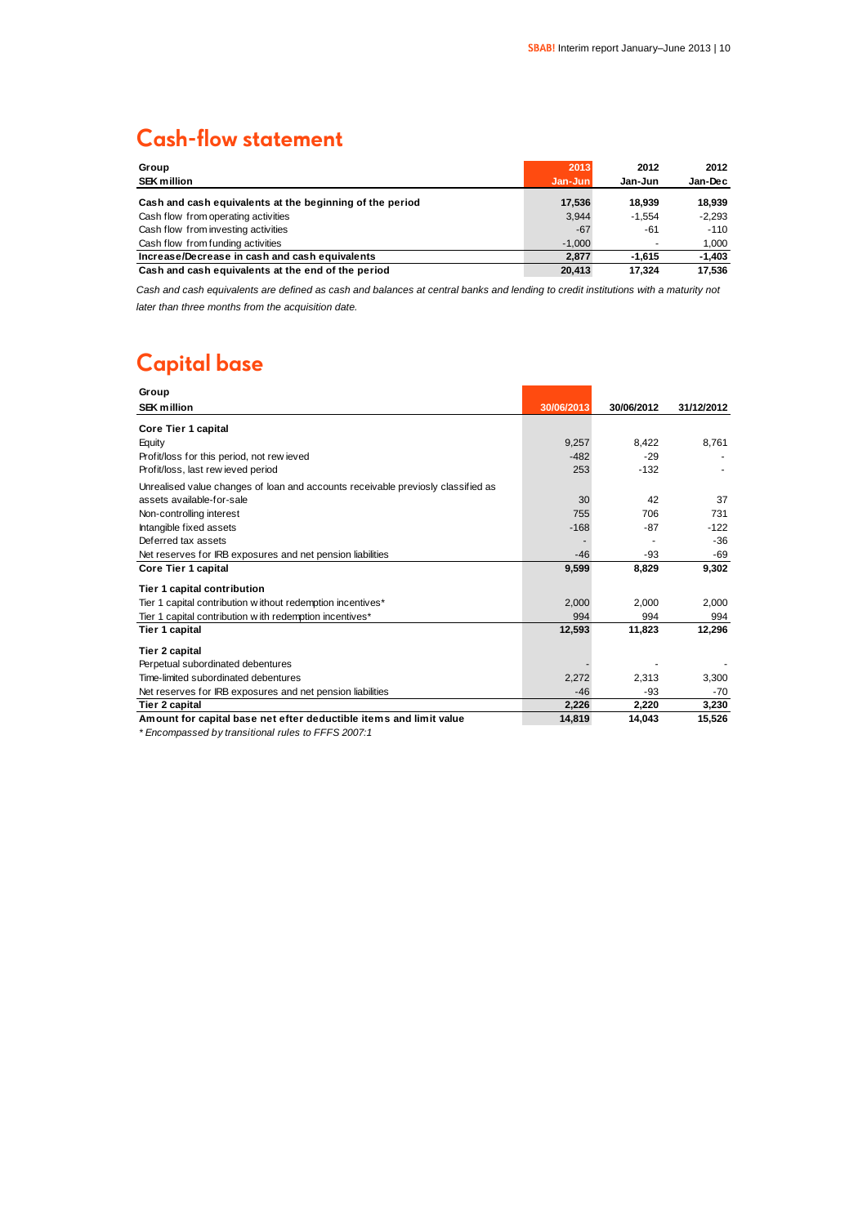# **Cash-flow statement**

| Group<br><b>SEK million</b>                              | 2013<br>Jan-Jun | 2012<br>Jan-Jun | 2012<br>Jan-Dec |
|----------------------------------------------------------|-----------------|-----------------|-----------------|
| Cash and cash equivalents at the beginning of the period | 17.536          | 18.939          | 18.939          |
| Cash flow from operating activities                      | 3.944           | $-1.554$        | $-2.293$        |
| Cash flow from investing activities                      | $-67$           | -61             | $-110$          |
| Cash flow from funding activities                        | $-1.000$        | ۰               | 1,000           |
| Increase/Decrease in cash and cash equivalents           | 2.877           | $-1.615$        | $-1.403$        |
| Cash and cash equivalents at the end of the period       | 20.413          | 17.324          | 17.536          |

*Cash and cash equivalents are defined as cash and balances at central banks and lending to credit institutions with a maturity not later than three months from the acquisition date.*

# **Capital base**

| Group                                                                            |            |            |            |
|----------------------------------------------------------------------------------|------------|------------|------------|
| <b>SEK million</b>                                                               | 30/06/2013 | 30/06/2012 | 31/12/2012 |
| Core Tier 1 capital                                                              |            |            |            |
| Equity                                                                           | 9.257      | 8.422      | 8,761      |
| Profit/loss for this period, not rew ieved                                       | $-482$     | $-29$      |            |
| Profit/loss, last rew ieved period                                               | 253        | $-132$     |            |
| Unrealised value changes of loan and accounts receivable previosly classified as |            |            |            |
| assets available-for-sale                                                        | 30         | 42         | 37         |
| Non-controlling interest                                                         | 755        | 706        | 731        |
| Intangible fixed assets                                                          | $-168$     | -87        | $-122$     |
| Deferred tax assets                                                              |            |            | -36        |
| Net reserves for IRB exposures and net pension liabilities                       | $-46$      | -93        | $-69$      |
| Core Tier 1 capital                                                              | 9,599      | 8,829      | 9,302      |
| Tier 1 capital contribution                                                      |            |            |            |
| Tier 1 capital contribution w ithout redemption incentives*                      | 2,000      | 2,000      | 2,000      |
| Tier 1 capital contribution w ith redemption incentives*                         | 994        | 994        | 994        |
| Tier 1 capital                                                                   | 12,593     | 11,823     | 12,296     |
| Tier 2 capital                                                                   |            |            |            |
| Perpetual subordinated debentures                                                |            |            |            |
| Time-limited subordinated debentures                                             | 2,272      | 2,313      | 3,300      |
| Net reserves for IRB exposures and net pension liabilities                       | $-46$      | -93        | $-70$      |
| Tier 2 capital                                                                   | 2,226      | 2,220      | 3,230      |
| Amount for capital base net efter deductible items and limit value               | 14,819     | 14,043     | 15,526     |

*\* Encompassed by transitional rules to FFFS 2007:1*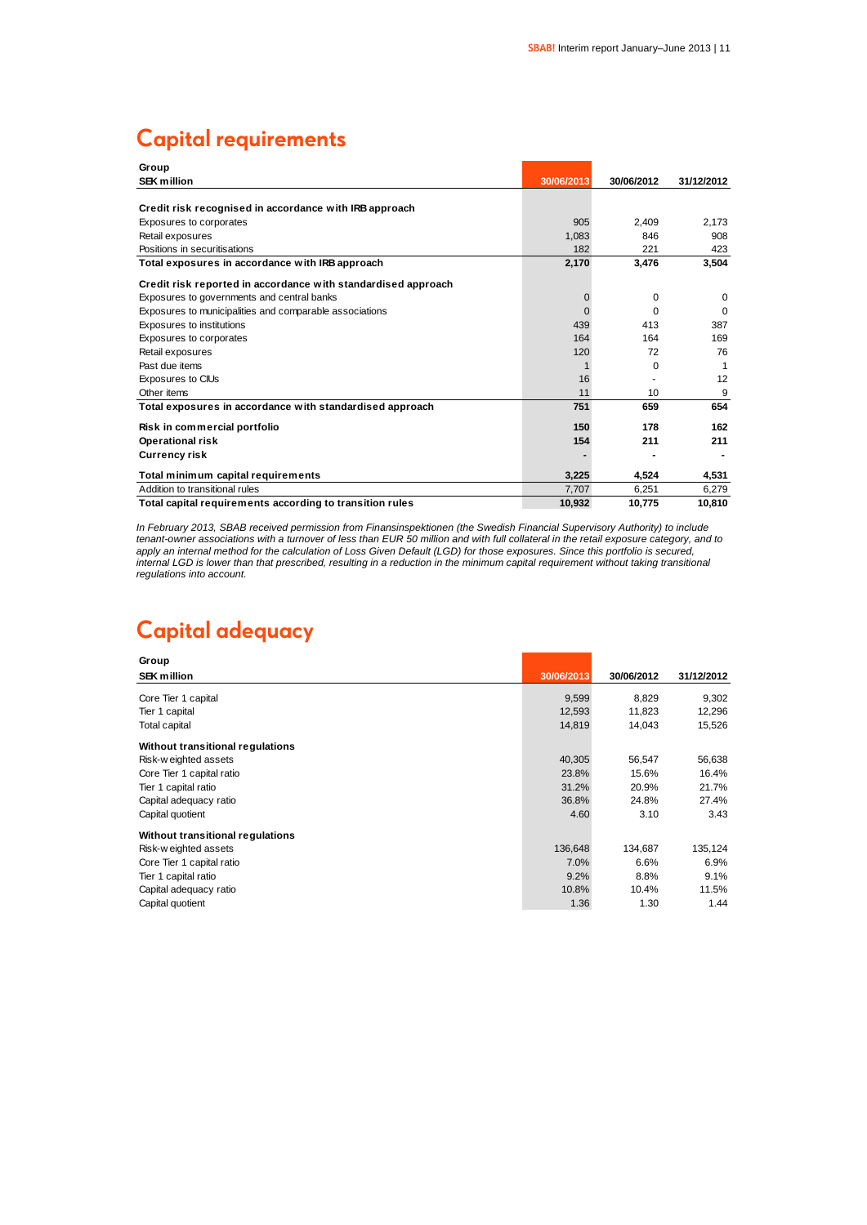# **Capital requirements**

| Group                                                         |            |            |            |
|---------------------------------------------------------------|------------|------------|------------|
| <b>SEK million</b>                                            | 30/06/2013 | 30/06/2012 | 31/12/2012 |
|                                                               |            |            |            |
| Credit risk recognised in accordance with IRB approach        |            |            |            |
| Exposures to corporates                                       | 905        | 2.409      | 2.173      |
| Retail exposures                                              | 1.083      | 846        | 908        |
| Positions in securitisations                                  | 182        | 221        | 423        |
| Total exposures in accordance with IRB approach               | 2,170      | 3,476      | 3,504      |
| Credit risk reported in accordance with standardised approach |            |            |            |
| Exposures to governments and central banks                    | 0          | 0          | $\Omega$   |
| Exposures to municipalities and comparable associations       | $\Omega$   | $\Omega$   | $\Omega$   |
| Exposures to institutions                                     | 439        | 413        | 387        |
| Exposures to corporates                                       | 164        | 164        | 169        |
| Retail exposures                                              | 120        | 72         | 76         |
| Past due items                                                |            | 0          |            |
| Exposures to CIUs                                             | 16         |            | 12         |
| Other items                                                   | 11         | 10         | 9          |
| Total exposures in accordance with standardised approach      | 751        | 659        | 654        |
| Risk in commercial portfolio                                  | 150        | 178        | 162        |
| <b>Operational risk</b>                                       | 154        | 211        | 211        |
| <b>Currency risk</b>                                          |            |            |            |
| Total minimum capital requirements                            | 3,225      | 4.524      | 4,531      |
| Addition to transitional rules                                | 7,707      | 6.251      | 6.279      |
| Total capital requirements according to transition rules      | 10.932     | 10.775     | 10.810     |

*In February 2013, SBAB received permission from Finansinspektionen (the Swedish Financial Supervisory Authority) to include tenant-owner associations with a turnover of less than EUR 50 million and with full collateral in the retail exposure category, and to apply an internal method for the calculation of Loss Given Default (LGD) for those exposures. Since this portfolio is secured, internal LGD is lower than that prescribed, resulting in a reduction in the minimum capital requirement without taking transitional regulations into account.*

# **Capital adequacy**

| Group                            |            |            |            |
|----------------------------------|------------|------------|------------|
| <b>SEK million</b>               | 30/06/2013 | 30/06/2012 | 31/12/2012 |
| Core Tier 1 capital              | 9,599      | 8,829      | 9,302      |
| Tier 1 capital                   | 12,593     | 11,823     | 12,296     |
| Total capital                    | 14,819     | 14,043     | 15,526     |
| Without transitional regulations |            |            |            |
| Risk-weighted assets             | 40,305     | 56,547     | 56,638     |
| Core Tier 1 capital ratio        | 23.8%      | 15.6%      | 16.4%      |
| Tier 1 capital ratio             | 31.2%      | 20.9%      | 21.7%      |
| Capital adequacy ratio           | 36.8%      | 24.8%      | 27.4%      |
| Capital quotient                 | 4.60       | 3.10       | 3.43       |
| Without transitional regulations |            |            |            |
| Risk-weighted assets             | 136,648    | 134,687    | 135,124    |
| Core Tier 1 capital ratio        | 7.0%       | 6.6%       | 6.9%       |
| Tier 1 capital ratio             | 9.2%       | 8.8%       | 9.1%       |
| Capital adequacy ratio           | 10.8%      | 10.4%      | 11.5%      |
| Capital quotient                 | 1.36       | 1.30       | 1.44       |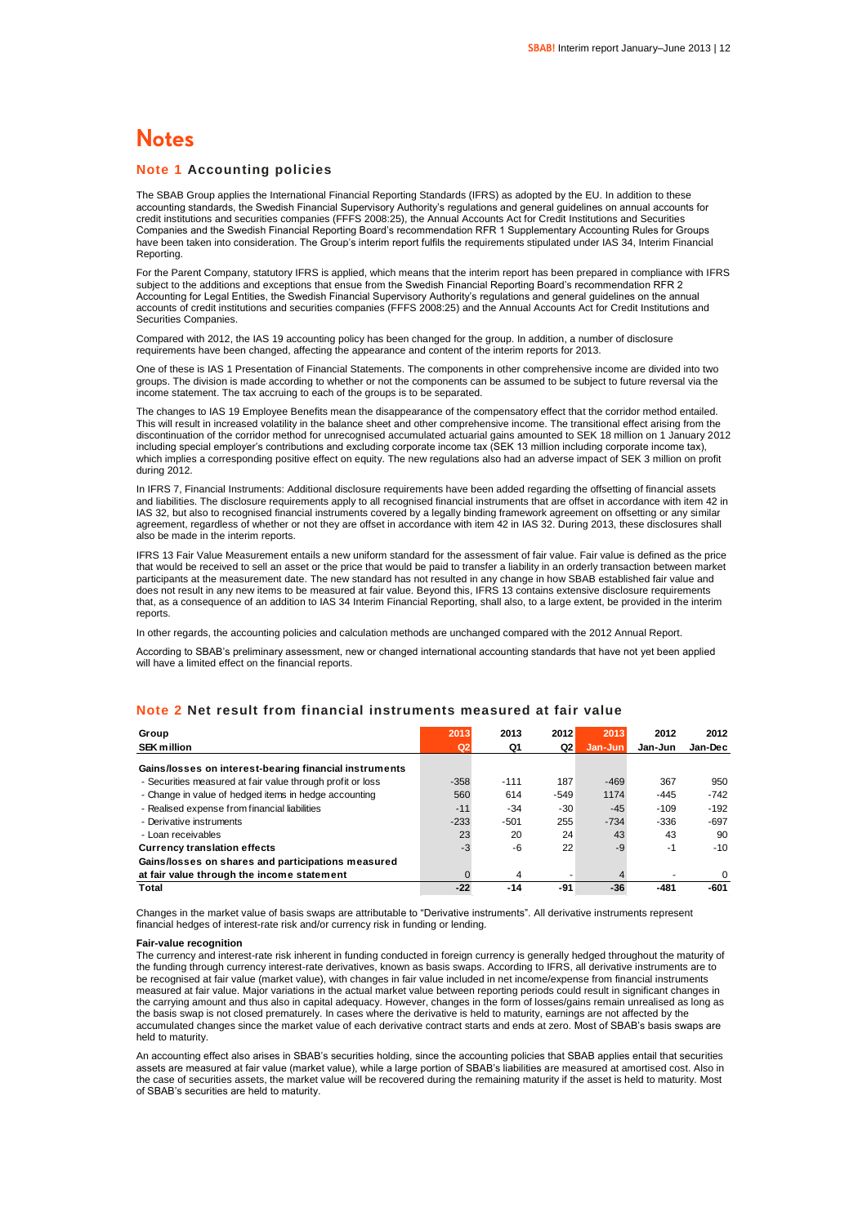### **Notes**

### **Note 1 Accounting policies**

The SBAB Group applies the International Financial Reporting Standards (IFRS) as adopted by the EU. In addition to these accounting standards, the Swedish Financial Supervisory Authority's regulations and general guidelines on annual accounts for credit institutions and securities companies (FFFS 2008:25), the Annual Accounts Act for Credit Institutions and Securities Companies and the Swedish Financial Reporting Board's recommendation RFR 1 Supplementary Accounting Rules for Groups have been taken into consideration. The Group's interim report fulfils the requirements stipulated under IAS 34, Interim Financial Reporting.

For the Parent Company, statutory IFRS is applied, which means that the interim report has been prepared in compliance with IFRS subject to the additions and exceptions that ensue from the Swedish Financial Reporting Board's recommendation RFR 2 Accounting for Legal Entities, the Swedish Financial Supervisory Authority's regulations and general guidelines on the annual accounts of credit institutions and securities companies (FFFS 2008:25) and the Annual Accounts Act for Credit Institutions and Securities Companies.

Compared with 2012, the IAS 19 accounting policy has been changed for the group. In addition, a number of disclosure requirements have been changed, affecting the appearance and content of the interim reports for 2013.

One of these is IAS 1 Presentation of Financial Statements. The components in other comprehensive income are divided into two groups. The division is made according to whether or not the components can be assumed to be subject to future reversal via the income statement. The tax accruing to each of the groups is to be separated.

The changes to IAS 19 Employee Benefits mean the disappearance of the compensatory effect that the corridor method entailed. This will result in increased volatility in the balance sheet and other comprehensive income. The transitional effect arising from the discontinuation of the corridor method for unrecognised accumulated actuarial gains amounted to SEK 18 million on 1 January 2012 including special employer's contributions and excluding corporate income tax (SEK 13 million including corporate income tax), which implies a corresponding positive effect on equity. The new regulations also had an adverse impact of SEK 3 million on profit during 2012.

In IFRS 7, Financial Instruments: Additional disclosure requirements have been added regarding the offsetting of financial assets and liabilities. The disclosure requirements apply to all recognised financial instruments that are offset in accordance with item 42 in IAS 32, but also to recognised financial instruments covered by a legally binding framework agreement on offsetting or any similar agreement, regardless of whether or not they are offset in accordance with item 42 in IAS 32. During 2013, these disclosures shall also be made in the interim reports.

IFRS 13 Fair Value Measurement entails a new uniform standard for the assessment of fair value. Fair value is defined as the price that would be received to sell an asset or the price that would be paid to transfer a liability in an orderly transaction between market participants at the measurement date. The new standard has not resulted in any change in how SBAB established fair value and does not result in any new items to be measured at fair value. Beyond this, IFRS 13 contains extensive disclosure requirements that, as a consequence of an addition to IAS 34 Interim Financial Reporting, shall also, to a large extent, be provided in the interim reports.

In other regards, the accounting policies and calculation methods are unchanged compared with the 2012 Annual Report.

According to SBAB's preliminary assessment, new or changed international accounting standards that have not yet been applied will have a limited effect on the financial reports.

| Group                                                      | 2013           | 2013           | 2012   | 2013    | 2012    | 2012    |
|------------------------------------------------------------|----------------|----------------|--------|---------|---------|---------|
| <b>SEK million</b>                                         | Q <sub>2</sub> | Q1             | Q2     | Jan-Jun | Jan-Jun | Jan-Dec |
| Gains/losses on interest-bearing financial instruments     |                |                |        |         |         |         |
| - Securities measured at fair value through profit or loss | $-358$         | $-111$         | 187    | $-469$  | 367     | 950     |
| - Change in value of hedged items in hedge accounting      | 560            | 614            | $-549$ | 1174    | $-445$  | $-742$  |
| - Realised expense from financial liabilities              | $-11$          | $-34$          | $-30$  | $-45$   | $-109$  | $-192$  |
| - Derivative instruments                                   | $-233$         | $-501$         | 255    | $-734$  | $-336$  | $-697$  |
| - Loan receivables                                         | 23             | 20             | 24     | 43      | 43      | 90      |
| <b>Currency translation effects</b>                        | -3             | -6             | 22     | $-9$    | $-1$    | $-10$   |
| Gains/losses on shares and participations measured         |                |                |        |         |         |         |
| at fair value through the income statement                 |                | $\overline{4}$ |        |         |         | 0       |
| Total                                                      | $-22$          | $-14$          | -91    | $-36$   | $-481$  | $-601$  |

### **Note 2 Net result from financial instruments measured at fair value**

Changes in the market value of basis swaps are attributable to "Derivative instruments". All derivative instruments represent financial hedges of interest-rate risk and/or currency risk in funding or lending.

#### **Fair-value recognition**

The currency and interest-rate risk inherent in funding conducted in foreign currency is generally hedged throughout the maturity of the funding through currency interest-rate derivatives, known as basis swaps. According to IFRS, all derivative instruments are to be recognised at fair value (market value), with changes in fair value included in net income/expense from financial instruments measured at fair value. Major variations in the actual market value between reporting periods could result in significant changes in the carrying amount and thus also in capital adequacy. However, changes in the form of losses/gains remain unrealised as long as the basis swap is not closed prematurely. In cases where the derivative is held to maturity, earnings are not affected by the accumulated changes since the market value of each derivative contract starts and ends at zero. Most of SBAB's basis swaps are held to maturity.

An accounting effect also arises in SBAB's securities holding, since the accounting policies that SBAB applies entail that securities assets are measured at fair value (market value), while a large portion of SBAB's liabilities are measured at amortised cost. Also in the case of securities assets, the market value will be recovered during the remaining maturity if the asset is held to maturity. Most of SBAB's securities are held to maturity.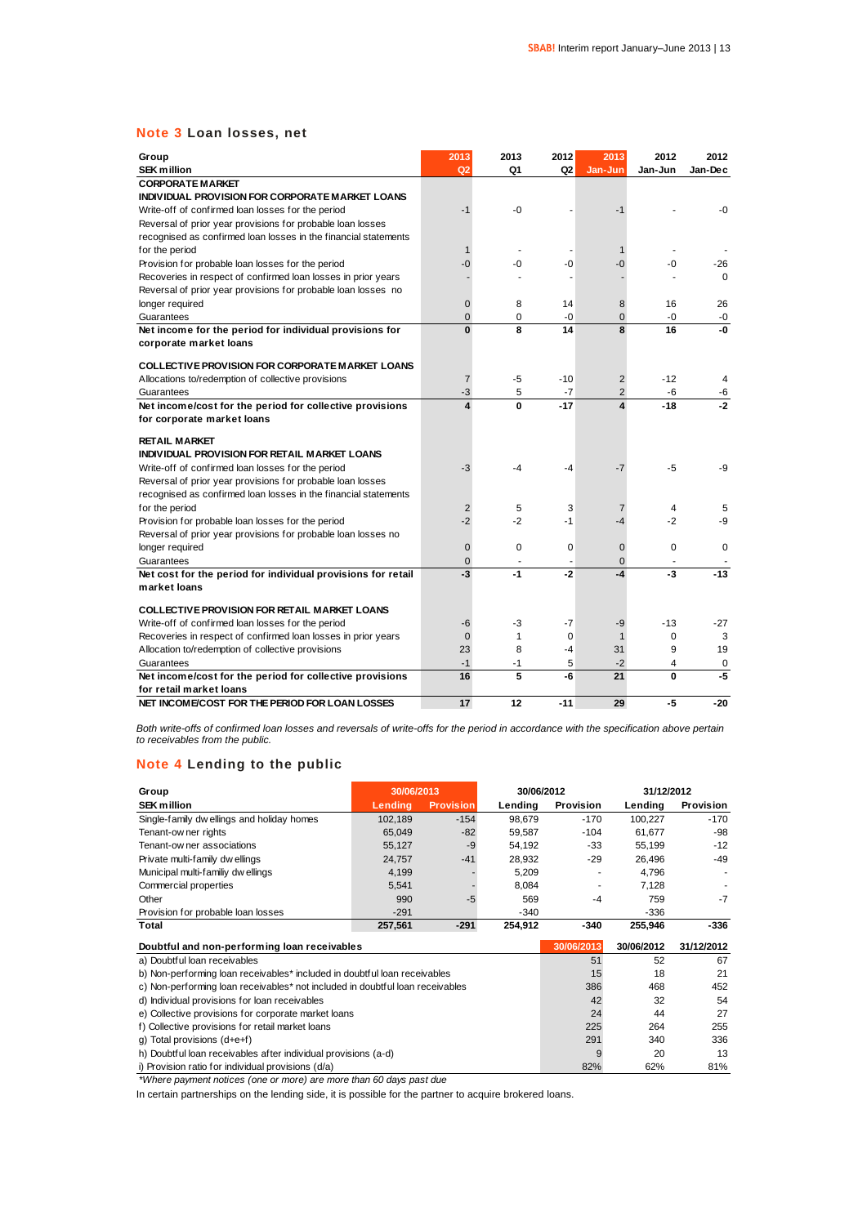### **Note 3 Loan losses, net**

| Group                                                           | 2013                          | 2013        | 2012           | 2013                                      | 2012         | 2012           |
|-----------------------------------------------------------------|-------------------------------|-------------|----------------|-------------------------------------------|--------------|----------------|
| <b>SEK million</b>                                              | Q2                            | Q1          | Q <sub>2</sub> | Jan-Jun                                   | Jan-Jun      | Jan-Dec        |
| <b>CORPORATE MARKET</b>                                         |                               |             |                |                                           |              |                |
| INDIVIDUAL PROVISION FOR CORPORATE MARKET LOANS                 |                               |             |                |                                           |              |                |
| Write-off of confirmed loan losses for the period               | $-1$                          | -0          |                | $-1$                                      |              | -0             |
| Reversal of prior year provisions for probable loan losses      |                               |             |                |                                           |              |                |
| recognised as confirmed loan losses in the financial statements |                               |             |                |                                           |              |                |
| for the period                                                  | 1                             |             |                | 1                                         |              |                |
| Provision for probable loan losses for the period               | -0                            | -0          | -0             | -0                                        | -0           | -26            |
| Recoveries in respect of confirmed loan losses in prior years   |                               |             |                |                                           |              | $\Omega$       |
| Reversal of prior year provisions for probable loan losses no   |                               |             |                |                                           |              |                |
| longer required                                                 | $\overline{0}$                | 8           | 14             | 8                                         | 16           | 26             |
| Guarantees                                                      | $\overline{0}$                | 0           | -0             | $\overline{0}$                            | $-0$         | $-0$           |
| Net income for the period for individual provisions for         | $\bf{0}$                      | 8           | 14             | 8                                         | 16           | -0             |
| corporate market loans                                          |                               |             |                |                                           |              |                |
|                                                                 |                               |             |                |                                           |              |                |
| <b>COLLECTIVE PROVISION FOR CORPORATE MARKET LOANS</b>          |                               |             |                |                                           |              |                |
| Allocations to/redemption of collective provisions              | $\overline{7}$                | -5          | $-10$          | $\overline{2}$                            | $-12$        | $\overline{4}$ |
| Guarantees                                                      | -3<br>$\overline{\mathbf{A}}$ | 5           | $-7$           | $\overline{2}$<br>$\overline{\mathbf{4}}$ | -6<br>$-18$  | -6<br>$-2$     |
| Net income/cost for the period for collective provisions        |                               | $\mathbf 0$ | $-17$          |                                           |              |                |
| for corporate market loans                                      |                               |             |                |                                           |              |                |
| <b>RETAIL MARKET</b>                                            |                               |             |                |                                           |              |                |
| INDIVIDUAL PROVISION FOR RETAIL MARKET LOANS                    |                               |             |                |                                           |              |                |
| Write-off of confirmed loan losses for the period               | $-3$                          | $-4$        | -4             | $-7$                                      | $-5$         | $-9$           |
| Reversal of prior year provisions for probable loan losses      |                               |             |                |                                           |              |                |
| recognised as confirmed loan losses in the financial statements |                               |             |                |                                           |              |                |
| for the period                                                  | 2                             | 5           | 3              | $\overline{7}$                            | 4            | 5              |
| Provision for probable loan losses for the period               | $-2$                          | $-2$        | -1             | $-4$                                      | $-2$         | -9             |
| Reversal of prior year provisions for probable loan losses no   |                               |             |                |                                           |              |                |
| longer required                                                 | $\overline{0}$                | $\mathbf 0$ | $\mathbf 0$    | $\mathbf 0$                               | $\Omega$     | $\Omega$       |
| Guarantees                                                      | $\overline{0}$                |             |                | $\overline{0}$                            |              |                |
| Net cost for the period for individual provisions for retail    | $-3$                          | $-1$        | $-2$           | $-4$                                      | $-3$         | $-13$          |
| market loans                                                    |                               |             |                |                                           |              |                |
|                                                                 |                               |             |                |                                           |              |                |
| <b>COLLECTIVE PROVISION FOR RETAIL MARKET LOANS</b>             |                               |             |                |                                           |              |                |
| Write-off of confirmed loan losses for the period               | -6                            | -3          | $-7$           | -9                                        | $-13$        | $-27$          |
| Recoveries in respect of confirmed loan losses in prior years   | $\mathbf 0$                   | 1           | $\mathbf 0$    | 1                                         | 0            | 3              |
| Allocation to/redemption of collective provisions               | 23                            | 8           | -4             | 31                                        | 9            | 19             |
| Guarantees                                                      | $-1$                          | -1          | 5              | $-2$                                      | 4            | 0<br>$-5$      |
| Net income/cost for the period for collective provisions        | 16                            | 5           | -6             | 21                                        | $\mathbf{0}$ |                |
| for retail market loans                                         |                               |             |                |                                           |              |                |
| NET INCOME/COST FOR THE PERIOD FOR LOAN LOSSES                  | 17                            | 12          | $-11$          | 29                                        | -5           | $-20$          |

*Both write-offs of confirmed loan losses and reversals of write-offs for the period in accordance with the specification above pertain to receivables from the public.*

### **Note 4 Lending to the public**

| $1.010 + 20.1011$ $1.010 + 0.00110$                                           |            |                  |            |            |            |            |
|-------------------------------------------------------------------------------|------------|------------------|------------|------------|------------|------------|
| Group                                                                         | 30/06/2013 |                  | 30/06/2012 |            | 31/12/2012 |            |
| <b>SEK million</b>                                                            | Lending    | <b>Provision</b> | Lending    | Provision  | Lending    | Provision  |
| Single-family dw ellings and holiday homes                                    | 102,189    | $-154$           | 98,679     | $-170$     | 100,227    | $-170$     |
| Tenant-ow ner rights                                                          | 65,049     | $-82$            | 59,587     | $-104$     | 61,677     | -98        |
| Tenant-ow ner associations                                                    | 55,127     | $-9$             | 54,192     | $-33$      | 55,199     | $-12$      |
| Private multi-family dw ellings                                               | 24,757     | $-41$            | 28,932     | $-29$      | 26,496     | $-49$      |
| Municipal multi-familiy dwellings                                             | 4,199      |                  | 5,209      |            | 4,796      |            |
| Commercial properties                                                         | 5,541      |                  | 8,084      |            | 7,128      |            |
| Other                                                                         | 990        | $-5$             | 569        | $-4$       | 759        | $-7$       |
| Provision for probable loan losses                                            | $-291$     |                  | $-340$     |            | $-336$     |            |
| Total                                                                         | 257,561    | $-291$           | 254,912    | $-340$     | 255,946    | -336       |
| Doubtful and non-performing loan receivables                                  |            |                  |            | 30/06/2013 | 30/06/2012 | 31/12/2012 |
| a) Doubtful loan receivables                                                  |            |                  |            | 51         | 52         | 67         |
| b) Non-performing loan receivables* included in doubtful loan receivables     |            |                  |            | 15         | 18         | 21         |
| c) Non-performing loan receivables* not included in doubtful loan receivables |            |                  |            | 386        | 468        | 452        |
| d) Individual provisions for loan receivables                                 |            |                  |            | 42         | 32         | 54         |
| e) Collective provisions for corporate market loans                           |            |                  |            | 24         | 44         | 27         |
| f) Collective provisions for retail market loans                              |            |                  |            |            | 264        | 255        |
| g) Total provisions (d+e+f)                                                   |            |                  |            | 291        | 340        | 336        |
| h) Doubtful loan receivables after individual provisions (a-d)                |            |                  |            |            | 20         | 13         |
| i) Provision ratio for individual provisions (d/a)                            |            |                  |            |            |            |            |

*\*Where payment notices (one or more) are more than 60 days past due*

In certain partnerships on the lending side, it is possible for the partner to acquire brokered loans.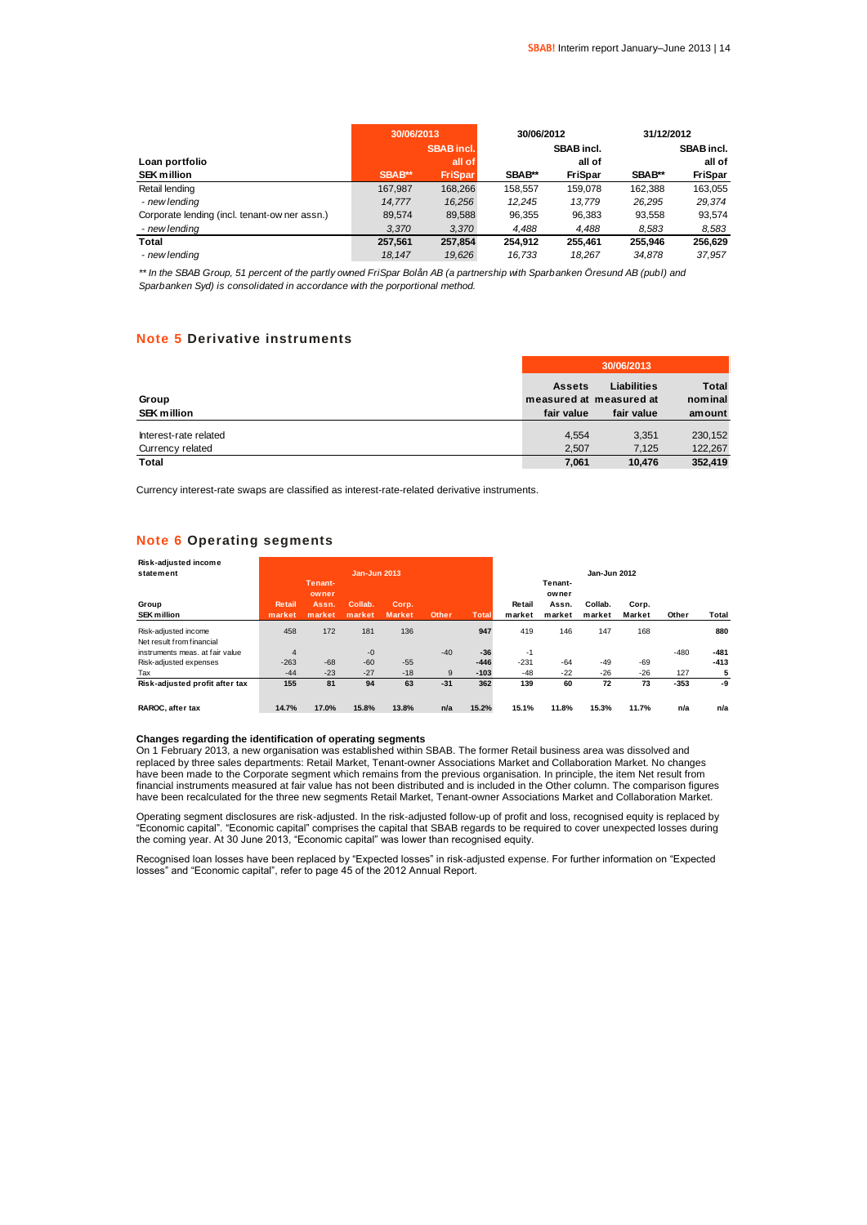|                                               | 30/06/2013 |                   | 30/06/2012 |                   | 31/12/2012 |                   |
|-----------------------------------------------|------------|-------------------|------------|-------------------|------------|-------------------|
|                                               |            | <b>SBAB</b> incl. |            | <b>SBAB</b> incl. |            | <b>SBAB</b> incl. |
| Loan portfolio                                |            | all of            |            | all of            |            | all of            |
| <b>SEK million</b>                            | SBAB**     | <b>FriSpar</b>    | SBAB**     | <b>FriSpar</b>    | SBAB**     | <b>FriSpar</b>    |
| Retail lending                                | 167.987    | 168.266           | 158.557    | 159.078           | 162.388    | 163.055           |
| - new lending                                 | 14.777     | 16.256            | 12.245     | 13.779            | 26.295     | 29.374            |
| Corporate lending (incl. tenant-ow ner assn.) | 89.574     | 89,588            | 96.355     | 96.383            | 93.558     | 93.574            |
| - new lending                                 | 3.370      | 3.370             | 4.488      | 4.488             | 8.583      | 8,583             |
| Total                                         | 257.561    | 257.854           | 254.912    | 255.461           | 255.946    | 256.629           |
| - new lendina                                 | 18.147     | 19.626            | 16.733     | 18.267            | 34.878     | 37.957            |

*\*\* In the SBAB Group, 51 percent of the partly owned FriSpar Bolån AB (a partnership with Sparbanken Öresund AB (publ) and Sparbanken Syd) is consolidated in accordance with the porportional method.*

### **Note 5 Derivative instruments**

|                                           | 30/06/2013                                             |                           |                                   |  |  |
|-------------------------------------------|--------------------------------------------------------|---------------------------|-----------------------------------|--|--|
| Group<br><b>SEK million</b>               | <b>Assets</b><br>measured at measured at<br>fair value | Liabilities<br>fair value | <b>Total</b><br>nominal<br>amount |  |  |
| Interest-rate related<br>Currency related | 4.554<br>2.507                                         | 3.351<br>7.125            | 230,152<br>122,267                |  |  |
| <b>Total</b>                              | 7,061                                                  | 10.476                    | 352.419                           |  |  |

Currency interest-rate swaps are classified as interest-rate-related derivative instruments.

### **Note 6 Operating segments**

| Risk-adjusted income            |               |                  |                     |        |              |              |        |                  |              |        |        |        |
|---------------------------------|---------------|------------------|---------------------|--------|--------------|--------------|--------|------------------|--------------|--------|--------|--------|
| statement                       |               |                  | <b>Jan-Jun 2013</b> |        |              |              |        |                  | Jan-Jun 2012 |        |        |        |
|                                 |               | Tenant-<br>owner |                     |        |              |              |        | Tenant-<br>owner |              |        |        |        |
| Group                           | <b>Retail</b> | Assn.            | Collab.             | Corp.  |              |              | Retail | Assn.            | Collab.      | Corp.  |        |        |
| <b>SEK million</b>              | market        | market           | market              | Market | <b>Other</b> | <b>Total</b> | market | market           | market       | Market | Other  | Total  |
| Risk-adjusted income            | 458           | 172              | 181                 | 136    |              | 947          | 419    | 146              | 147          | 168    |        | 880    |
| Net result from financial       |               |                  |                     |        |              |              |        |                  |              |        |        |        |
| instruments meas, at fair value | 4             |                  | $-0$                |        | $-40$        | $-36$        | $-1$   |                  |              |        | $-480$ | $-481$ |
| Risk-adjusted expenses          | $-263$        | $-68$            | $-60$               | $-55$  |              | $-446$       | $-231$ | $-64$            | $-49$        | -69    |        | $-413$ |
| Tax                             | $-44$         | $-23$            | $-27$               | $-18$  | 9            | $-103$       | $-48$  | $-22$            | $-26$        | $-26$  | 127    | 5      |
| Risk-adjusted profit after tax  | 155           | 81               | 94                  | 63     | $-31$        | 362          | 139    | 60               | 72           | 73     | $-353$ | -9     |
| RAROC, after tax                | 14.7%         | 17.0%            | 15.8%               | 13.8%  | n/a          | 15.2%        | 15.1%  | 11.8%            | 15.3%        | 11.7%  | n/a    | n/a    |

### **Changes regarding the identification of operating segments**

On 1 February 2013, a new organisation was established within SBAB. The former Retail business area was dissolved and replaced by three sales departments: Retail Market, Tenant-owner Associations Market and Collaboration Market. No changes have been made to the Corporate segment which remains from the previous organisation. In principle, the item Net result from financial instruments measured at fair value has not been distributed and is included in the Other column. The comparison figures<br>have been recalculated for the three new segments Retail Market, Tenant-owner Associations M

Operating segment disclosures are risk-adjusted. In the risk-adjusted follow-up of profit and loss, recognised equity is replaced by "Economic capital". "Economic capital" comprises the capital that SBAB regards to be required to cover unexpected losses during the coming year. At 30 June 2013, "Economic capital" was lower than recognised equity.

Recognised Ioan Iosses have been replaced by "Expected Iosses" in risk-adjusted expense. For further information on "Expected<br>Iosses" and "Economic capital", refer to page 45 of the 2012 Annual Report.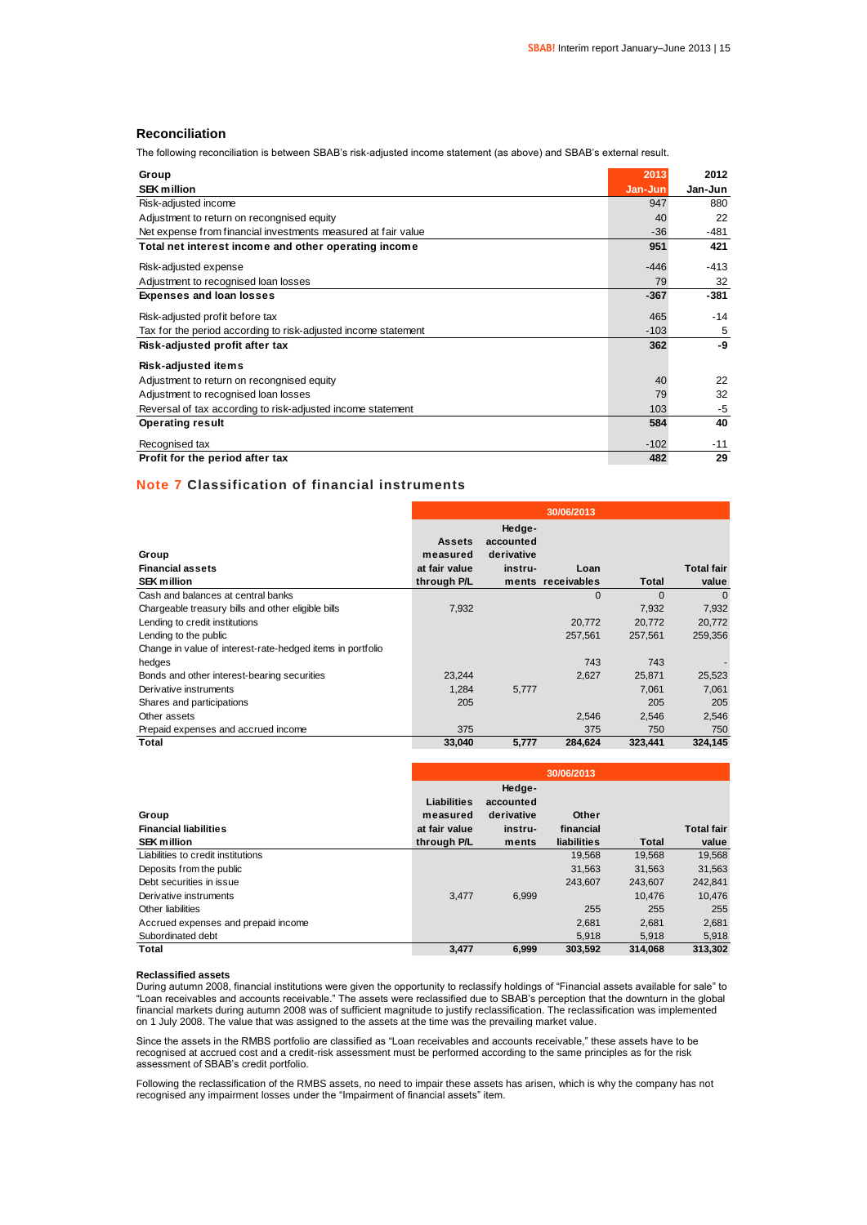### **Reconciliation**

The following reconciliation is between SBAB's risk-adjusted income statement (as above) and SBAB's external result.

| Group                                                          | 2013    | 2012    |
|----------------------------------------------------------------|---------|---------|
| <b>SEK million</b>                                             | Jan-Jun | Jan-Jun |
| Risk-adjusted income                                           | 947     | 880     |
| Adjustment to return on recongnised equity                     | 40      | 22      |
| Net expense from financial investments measured at fair value  | $-36$   | -481    |
| Total net interest income and other operating income           | 951     | 421     |
| Risk-adjusted expense                                          | $-446$  | $-413$  |
| Adjustment to recognised loan losses                           | 79      | 32      |
| <b>Expenses and loan losses</b>                                | $-367$  | $-381$  |
| Risk-adjusted profit before tax                                | 465     | $-14$   |
| Tax for the period according to risk-adjusted income statement | $-103$  | 5       |
| Risk-adjusted profit after tax                                 | 362     | -9      |
| <b>Risk-adjusted items</b>                                     |         |         |
| Adjustment to return on recongnised equity                     | 40      | 22      |
| Adjustment to recognised loan losses                           | 79      | 32      |
| Reversal of tax according to risk-adjusted income statement    | 103     | $-5$    |
| <b>Operating result</b>                                        | 584     | 40      |
| Recognised tax                                                 | $-102$  | $-11$   |
| Profit for the period after tax                                | 482     | 29      |

### **Note 7 Classification of financial instruments**

|                                                            |                                            |                                              | 30/06/2013        |              |                   |
|------------------------------------------------------------|--------------------------------------------|----------------------------------------------|-------------------|--------------|-------------------|
| Group<br><b>Financial assets</b>                           | <b>Assets</b><br>measured<br>at fair value | Hedge-<br>accounted<br>derivative<br>instru- | Loan              |              | <b>Total fair</b> |
| <b>SEK million</b>                                         | through P/L                                |                                              | ments receivables | <b>Total</b> | value             |
| Cash and balances at central banks                         |                                            |                                              | 0                 | 0            | $\Omega$          |
| Chargeable treasury bills and other eligible bills         | 7,932                                      |                                              |                   | 7,932        | 7,932             |
| Lending to credit institutions                             |                                            |                                              | 20.772            | 20,772       | 20,772            |
| Lending to the public                                      |                                            |                                              | 257,561           | 257,561      | 259,356           |
| Change in value of interest-rate-hedged items in portfolio |                                            |                                              |                   |              |                   |
| hedges                                                     |                                            |                                              | 743               | 743          |                   |
| Bonds and other interest-bearing securities                | 23,244                                     |                                              | 2,627             | 25,871       | 25,523            |
| Derivative instruments                                     | 1,284                                      | 5,777                                        |                   | 7,061        | 7,061             |
| Shares and participations                                  | 205                                        |                                              |                   | 205          | 205               |
| Other assets                                               |                                            |                                              | 2,546             | 2,546        | 2,546             |
| Prepaid expenses and accrued income                        | 375                                        |                                              | 375               | 750          | 750               |
| Total                                                      | 33,040                                     | 5,777                                        | 284,624           | 323,441      | 324,145           |

|                                     | 30/06/2013              |                                   |             |         |                   |  |
|-------------------------------------|-------------------------|-----------------------------------|-------------|---------|-------------------|--|
| Group                               | Liabilities<br>measured | Hedge-<br>accounted<br>derivative | Other       |         |                   |  |
| <b>Financial liabilities</b>        | at fair value           | instru-                           | financial   |         | <b>Total fair</b> |  |
| <b>SEK million</b>                  | through P/L             | ments                             | liabilities | Total   | value             |  |
| Liabilities to credit institutions  |                         |                                   | 19.568      | 19.568  | 19.568            |  |
| Deposits from the public            |                         |                                   | 31.563      | 31.563  | 31.563            |  |
| Debt securities in issue            |                         |                                   | 243.607     | 243.607 | 242,841           |  |
| Derivative instruments              | 3.477                   | 6,999                             |             | 10.476  | 10.476            |  |
| Other liabilities                   |                         |                                   | 255         | 255     | 255               |  |
| Accrued expenses and prepaid income |                         |                                   | 2.681       | 2.681   | 2,681             |  |
| Subordinated debt                   |                         |                                   | 5.918       | 5.918   | 5,918             |  |
| Total                               | 3,477                   | 6,999                             | 303.592     | 314.068 | 313.302           |  |

#### **Reclassified assets**

During autumn 2008, financial institutions were given the opportunity to reclassify holdings of "Financial assets available for sale" to "Loan receivables and accounts receivable." The assets were reclassified due to SBAB's perception that the downturn in the global financial markets during autumn 2008 was of sufficient magnitude to justify reclassification. The reclassification was implemented on 1 July 2008. The value that was assigned to the assets at the time was the prevailing market value.

Since the assets in the RMBS portfolio are classified as "Loan receivables and accounts receivable," these assets have to be recognised at accrued cost and a credit-risk assessment must be performed according to the same principles as for the risk assessment of SBAB's credit portfolio.

Following the reclassification of the RMBS assets, no need to impair these assets has arisen, which is why the company has not recognised any impairment losses under the "Impairment of financial assets" item.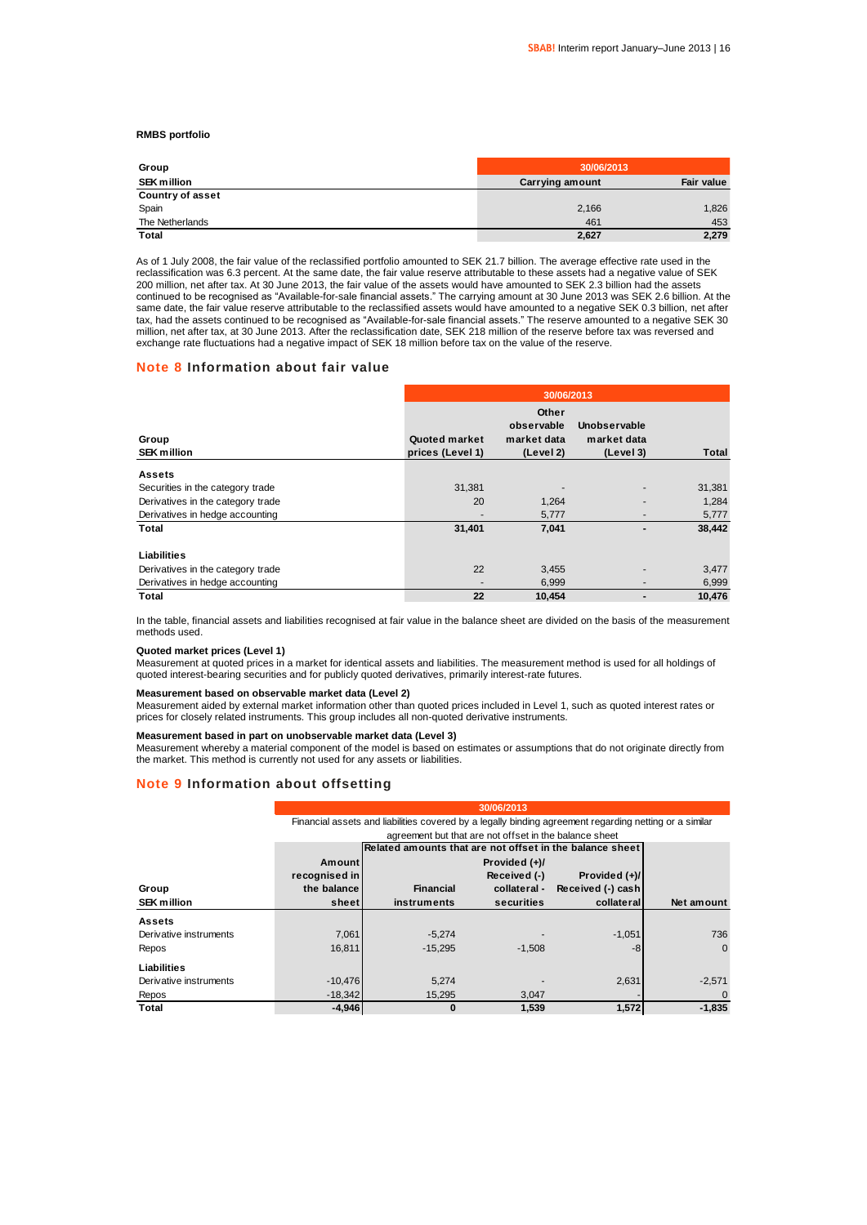### **RMBS portfolio**

| Group                   | 30/06/2013             |            |
|-------------------------|------------------------|------------|
| <b>SEK million</b>      | <b>Carrying amount</b> | Fair value |
| <b>Country of asset</b> |                        |            |
| Spain                   | 2,166                  | 1,826      |
| The Netherlands         | 461                    | 453        |
| Total                   | 2,627                  | 2,279      |

As of 1 July 2008, the fair value of the reclassified portfolio amounted to SEK 21.7 billion. The average effective rate used in the reclassification was 6.3 percent. At the same date, the fair value reserve attributable to these assets had a negative value of SEK 200 million, net after tax. At 30 June 2013, the fair value of the assets would have amounted to SEK 2.3 billion had the assets continued to be recognised as "Available-for-sale financial assets." The carrying amount at 30 June 2013 was SEK 2.6 billion. At the same date, the fair value reserve attributable to the reclassified assets would have amounted to a negative SEK 0.3 billion, net after tax, had the assets continued to be recognised as "Available-for-sale financial assets." The reserve amounted to a negative SEK 30 million, net after tax, at 30 June 2013. After the reclassification date, SEK 218 million of the reserve before tax was reversed and exchange rate fluctuations had a negative impact of SEK 18 million before tax on the value of the reserve.

#### **Note 8 Information about fair value**

|                                   | 30/06/2013                        |                                                 |                                          |        |  |  |  |  |
|-----------------------------------|-----------------------------------|-------------------------------------------------|------------------------------------------|--------|--|--|--|--|
| Group<br><b>SEK million</b>       | Quoted market<br>prices (Level 1) | Other<br>observable<br>market data<br>(Level 2) | Unobservable<br>market data<br>(Level 3) | Total  |  |  |  |  |
| <b>Assets</b>                     |                                   |                                                 |                                          |        |  |  |  |  |
| Securities in the category trade  | 31,381                            |                                                 |                                          | 31,381 |  |  |  |  |
| Derivatives in the category trade | 20                                | 1,264                                           |                                          | 1,284  |  |  |  |  |
| Derivatives in hedge accounting   |                                   | 5,777                                           |                                          | 5,777  |  |  |  |  |
| Total                             | 31,401                            | 7,041                                           |                                          | 38,442 |  |  |  |  |
| Liabilities                       |                                   |                                                 |                                          |        |  |  |  |  |
| Derivatives in the category trade | 22                                | 3,455                                           |                                          | 3,477  |  |  |  |  |
| Derivatives in hedge accounting   | -                                 | 6,999                                           | -                                        | 6,999  |  |  |  |  |
| Total                             | 22                                | 10.454                                          |                                          | 10.476 |  |  |  |  |

In the table, financial assets and liabilities recognised at fair value in the balance sheet are divided on the basis of the measurement methods used.

#### **Quoted market prices (Level 1)**

Measurement at quoted prices in a market for identical assets and liabilities. The measurement method is used for all holdings of quoted interest-bearing securities and for publicly quoted derivatives, primarily interest-rate futures.

#### **Measurement based on observable market data (Level 2)**

Measurement aided by external market information other than quoted prices included in Level 1, such as quoted interest rates or prices for closely related instruments. This group includes all non-quoted derivative instruments.

#### **Measurement based in part on unobservable market data (Level 3)**

Measurement whereby a material component of the model is based on estimates or assumptions that do not originate directly from the market. This method is currently not used for any assets or liabilities.

### **Note 9 Information about offsetting**

|                        |               | Financial assets and liabilities covered by a legally binding agreement regarding netting or a similar |               |                   |                |  |  |  |  |  |
|------------------------|---------------|--------------------------------------------------------------------------------------------------------|---------------|-------------------|----------------|--|--|--|--|--|
|                        |               | agreement but that are not offset in the balance sheet                                                 |               |                   |                |  |  |  |  |  |
|                        |               | Related amounts that are not offset in the balance sheet                                               |               |                   |                |  |  |  |  |  |
|                        | Amount        |                                                                                                        | Provided (+)/ |                   |                |  |  |  |  |  |
|                        | recognised in |                                                                                                        | Received (-)  | Provided (+)/     |                |  |  |  |  |  |
| Group                  | the balance   | <b>Financial</b>                                                                                       | collateral -  | Received (-) cash |                |  |  |  |  |  |
| <b>SEK million</b>     | sheet         | instruments                                                                                            | securities    | collateral        | Net amount     |  |  |  |  |  |
| <b>Assets</b>          |               |                                                                                                        |               |                   |                |  |  |  |  |  |
| Derivative instruments | 7,061         | $-5,274$                                                                                               |               | $-1,051$          | 736            |  |  |  |  |  |
| Repos                  | 16.811        | $-15.295$                                                                                              | $-1,508$      | -8                | $\Omega$       |  |  |  |  |  |
| Liabilities            |               |                                                                                                        |               |                   |                |  |  |  |  |  |
| Derivative instruments | $-10.476$     | 5.274                                                                                                  |               | 2,631             | $-2,571$       |  |  |  |  |  |
| Repos                  | $-18.342$     | 15,295                                                                                                 | 3,047         |                   | $\overline{0}$ |  |  |  |  |  |
| Total                  | $-4,946$      | 0                                                                                                      | 1,539         | 1,572             | $-1.835$       |  |  |  |  |  |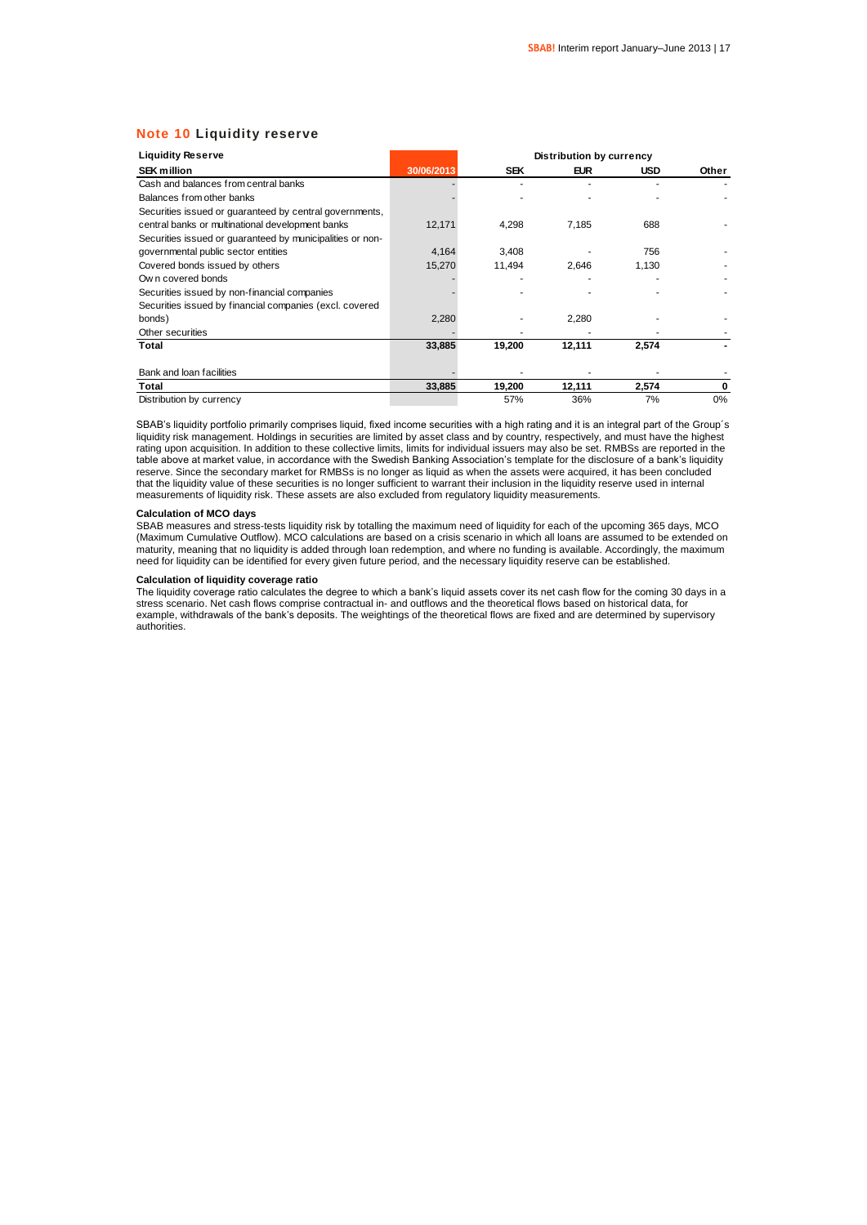### **Note 10 Liquidity reserve**

| <b>Liquidity Reserve</b>                                  |            |            | <b>Distribution by currency</b> |            |       |
|-----------------------------------------------------------|------------|------------|---------------------------------|------------|-------|
| <b>SEK million</b>                                        | 30/06/2013 | <b>SEK</b> | <b>EUR</b>                      | <b>USD</b> | Other |
| Cash and balances from central banks                      |            |            |                                 |            |       |
| Balances from other banks                                 |            |            |                                 |            |       |
| Securities issued or quaranteed by central governments,   |            |            |                                 |            |       |
| central banks or multinational development banks          | 12,171     | 4,298      | 7,185                           | 688        |       |
| Securities issued or guaranteed by municipalities or non- |            |            |                                 |            |       |
| governmental public sector entities                       | 4,164      | 3,408      |                                 | 756        |       |
| Covered bonds issued by others                            | 15,270     | 11,494     | 2.646                           | 1,130      |       |
| Own covered bonds                                         |            |            |                                 |            |       |
| Securities issued by non-financial companies              |            |            |                                 |            |       |
| Securities issued by financial companies (excl. covered   |            |            |                                 |            |       |
| bonds)                                                    | 2,280      |            | 2,280                           |            |       |
| Other securities                                          |            |            |                                 |            |       |
| Total                                                     | 33,885     | 19,200     | 12,111                          | 2,574      |       |
|                                                           |            |            |                                 |            |       |
| Bank and loan facilities                                  |            |            |                                 |            |       |
| Total                                                     | 33,885     | 19,200     | 12,111                          | 2,574      | 0     |
| Distribution by currency                                  |            | 57%        | 36%                             | 7%         | 0%    |

SBAB's liquidity portfolio primarily comprises liquid, fixed income securities with a high rating and it is an integral part of the Group's liquidity risk management. Holdings in securities are limited by asset class and by country, respectively, and must have the highest rating upon acquisition. In addition to these collective limits, limits for individual issuers may also be set. RMBSs are reported in the table above at market value, in accordance with the Swedish Banking Association's template for the disclosure of a bank's liquidity reserve. Since the secondary market for RMBSs is no longer as liquid as when the assets were acquired, it has been concluded that the liquidity value of these securities is no longer sufficient to warrant their inclusion in the liquidity reserve used in internal<br>measurements of liquidity risk. These assets are also excluded from regulatory liqui

#### **Calculation of MCO days**

SBAB measures and stress-tests liquidity risk by totalling the maximum need of liquidity for each of the upcoming 365 days, MCO (Maximum Cumulative Outflow). MCO calculations are based on a crisis scenario in which all loans are assumed to be extended on maturity, meaning that no liquidity is added through loan redemption, and where no funding is available. Accordingly, the maximum need for liquidity can be identified for every given future period, and the necessary liquidity reserve can be established.

### **Calculation of liquidity coverage ratio**

The liquidity coverage ratio calculates the degree to which a bank's liquid assets cover its net cash flow for the coming 30 days in a stress scenario. Net cash flows comprise contractual in- and outflows and the theoretical flows based on historical data, for example, withdrawals of the bank's deposits. The weightings of the theoretical flows are fixed and are determined by supervisory authorities.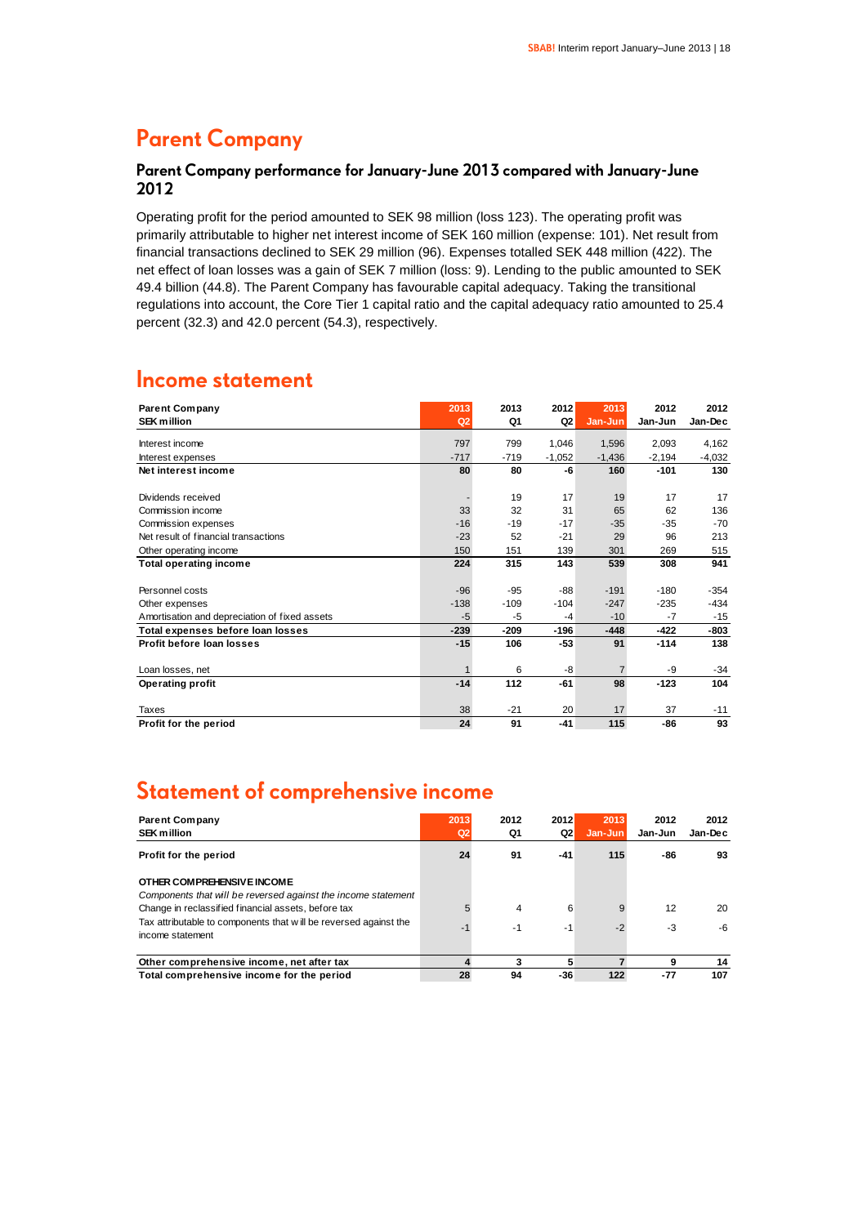### **Parent Company**

### **Parent Company performance for January-June 2013 compared with January-June 2012**

Operating profit for the period amounted to SEK 98 million (loss 123). The operating profit was primarily attributable to higher net interest income of SEK 160 million (expense: 101). Net result from financial transactions declined to SEK 29 million (96). Expenses totalled SEK 448 million (422). The net effect of loan losses was a gain of SEK 7 million (loss: 9). Lending to the public amounted to SEK 49.4 billion (44.8). The Parent Company has favourable capital adequacy. Taking the transitional regulations into account, the Core Tier 1 capital ratio and the capital adequacy ratio amounted to 25.4 percent (32.3) and 42.0 percent (54.3), respectively.

### **Income statement**

| <b>Parent Company</b><br><b>SEK million</b>   | 2013<br>Q2 | 2013<br>Q1 | 2012<br>Q2 | 2013<br>Jan-Jun | 2012<br>Jan-Jun | 2012<br>Jan-Dec |
|-----------------------------------------------|------------|------------|------------|-----------------|-----------------|-----------------|
|                                               |            |            |            |                 |                 |                 |
| Interest income                               | 797        | 799        | 1,046      | 1,596           | 2,093           | 4,162           |
| Interest expenses                             | $-717$     | $-719$     | $-1,052$   | $-1,436$        | $-2,194$        | $-4,032$        |
| Net interest income                           | 80         | 80         | -6         | 160             | $-101$          | 130             |
|                                               |            |            |            |                 |                 |                 |
| Dividends received                            |            | 19         | 17         | 19              | 17              | 17              |
| Commission income                             | 33         | 32         | 31         | 65              | 62              | 136             |
| Commission expenses                           | $-16$      | $-19$      | $-17$      | $-35$           | $-35$           | $-70$           |
| Net result of financial transactions          | $-23$      | 52         | $-21$      | 29              | 96              | 213             |
| Other operating income                        | 150        | 151        | 139        | 301             | 269             | 515             |
| <b>Total operating income</b>                 | 224        | 315        | 143        | 539             | 308             | 941             |
|                                               |            |            |            |                 |                 |                 |
| Personnel costs                               | $-96$      | $-95$      | $-88$      | $-191$          | $-180$          | $-354$          |
| Other expenses                                | $-138$     | $-109$     | $-104$     | $-247$          | $-235$          | $-434$          |
| Amortisation and depreciation of fixed assets | $-5$       | $-5$       | $-4$       | $-10$           | $-7$            | $-15$           |
| Total expenses before loan losses             | $-239$     | $-209$     | $-196$     | $-448$          | $-422$          | $-803$          |
| Profit before loan losses                     | $-15$      | 106        | $-53$      | 91              | $-114$          | 138             |
| Loan losses, net                              |            | 6          | -8         | $\overline{7}$  | -9              | $-34$           |
| <b>Operating profit</b>                       | $-14$      | 112        | $-61$      | 98              | $-123$          | 104             |
| Taxes                                         | 38         | $-21$      | 20         | 17              | 37              | $-11$           |
| Profit for the period                         | 24         | 91         | $-41$      | 115             | -86             | 93              |
|                                               |            |            |            |                 |                 |                 |

### **Statement of comprehensive income**

| <b>Parent Company</b><br><b>SEK million</b>                                                 | 2013<br>Q2 | 2012<br>Q1 | 2012<br>Q2 | 2013<br>Jan-Jun | 2012<br>Jan-Jun | 2012<br>Jan-Dec |
|---------------------------------------------------------------------------------------------|------------|------------|------------|-----------------|-----------------|-----------------|
| Profit for the period                                                                       | 24         | 91         | -41        | 115             | -86             | 93              |
| OTHER COMPREHENSIVE INCOME<br>Components that will be reversed against the income statement |            |            |            |                 |                 |                 |
| Change in reclassified financial assets, before tax                                         |            | 4          | 6          |                 | 12              | 20              |
| Tax attributable to components that will be reversed against the<br>income statement        | -1         | -1         | $-1$       | $-2$            | -3              | -6              |
| Other comprehensive income, net after tax                                                   |            | 3          | 5          |                 | 9               | 14              |
| Total comprehensive income for the period                                                   | 28         | 94         | -36        | 122             | $-77$           | 107             |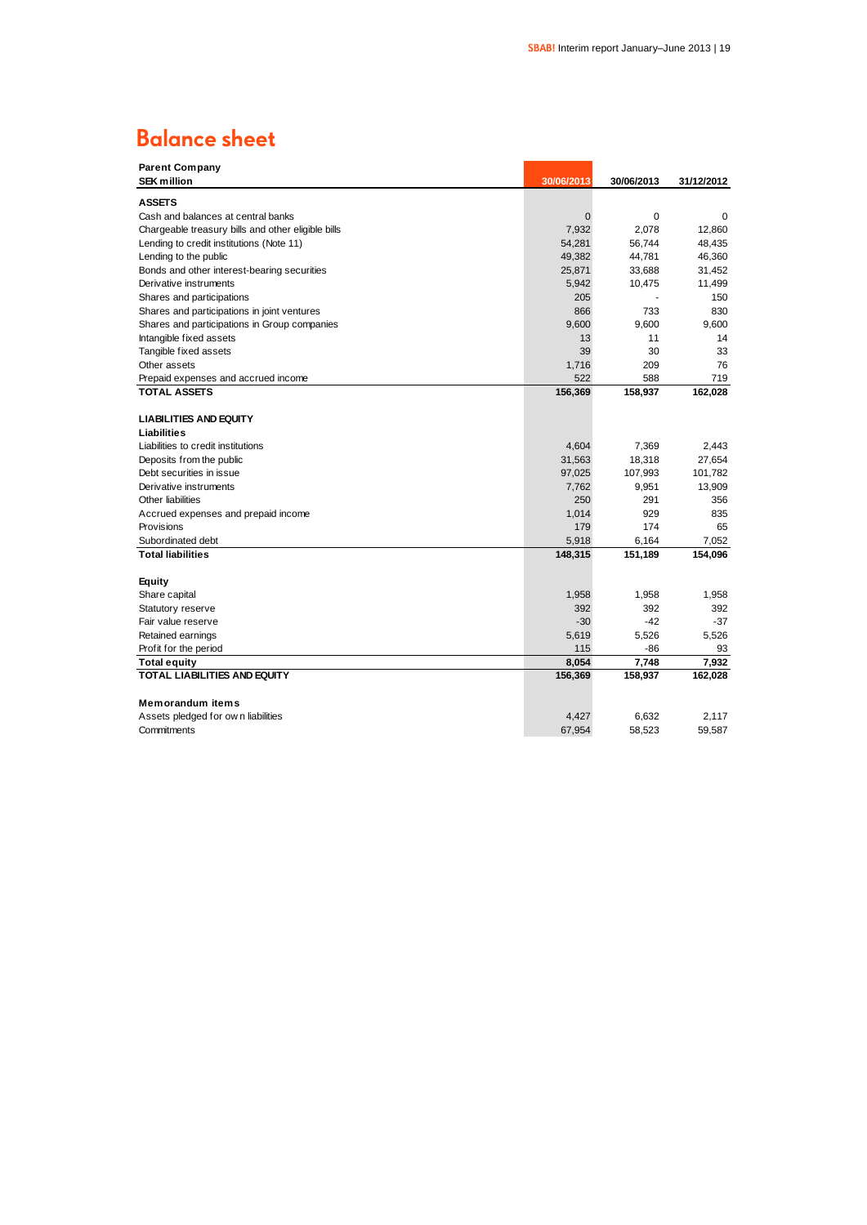# **Balance sheet**

| <b>Parent Company</b>                              |            |            |            |
|----------------------------------------------------|------------|------------|------------|
| <b>SEK million</b>                                 | 30/06/2013 | 30/06/2013 | 31/12/2012 |
| <b>ASSETS</b>                                      |            |            |            |
| Cash and balances at central banks                 | 0          | 0          | 0          |
| Chargeable treasury bills and other eligible bills | 7,932      | 2,078      | 12,860     |
| Lending to credit institutions (Note 11)           | 54,281     | 56,744     | 48,435     |
| Lending to the public                              | 49,382     | 44,781     | 46,360     |
| Bonds and other interest-bearing securities        | 25,871     | 33,688     | 31,452     |
| Derivative instruments                             | 5,942      | 10,475     | 11,499     |
| Shares and participations                          | 205        |            | 150        |
| Shares and participations in joint ventures        | 866        | 733        | 830        |
| Shares and participations in Group companies       | 9,600      | 9.600      | 9.600      |
| Intangible fixed assets                            | 13         | 11         | 14         |
| Tangible fixed assets                              | 39         | 30         | 33         |
| Other assets                                       | 1,716      | 209        | 76         |
| Prepaid expenses and accrued income                | 522        | 588        | 719        |
| TOTAL ASSETS                                       | 156,369    | 158,937    | 162,028    |
|                                                    |            |            |            |
| <b>LIABILITIES AND EQUITY</b>                      |            |            |            |
| Liabilities                                        |            |            |            |
| Liabilities to credit institutions                 | 4,604      | 7,369      | 2.443      |
| Deposits from the public                           | 31,563     | 18,318     | 27,654     |
| Debt securities in issue                           | 97,025     | 107,993    | 101,782    |
| Derivative instruments                             | 7,762      | 9,951      | 13,909     |
| Other liabilities                                  | 250        | 291        | 356        |
| Accrued expenses and prepaid income                | 1,014      | 929        | 835        |
| Provisions                                         | 179        | 174        | 65         |
| Subordinated debt                                  | 5,918      | 6,164      | 7,052      |
| <b>Total liabilities</b>                           | 148,315    | 151,189    | 154,096    |
|                                                    |            |            |            |
| Equity                                             |            |            |            |
| Share capital                                      | 1,958      | 1,958      | 1,958      |
| Statutory reserve                                  | 392        | 392        | 392        |
| Fair value reserve                                 | $-30$      | $-42$      | $-37$      |
| Retained earnings                                  | 5,619      | 5,526      | 5,526      |
| Profit for the period                              | 115        | -86        | 93         |
| Total equity                                       | 8,054      | 7,748      | 7,932      |
| <b>TOTAL LIABILITIES AND EQUITY</b>                | 156,369    | 158,937    | 162,028    |
|                                                    |            |            |            |
| <b>Memorandum items</b>                            |            |            |            |
| Assets pledged for own liabilities                 | 4,427      | 6,632      | 2,117      |
| Commitments                                        | 67,954     | 58.523     | 59,587     |